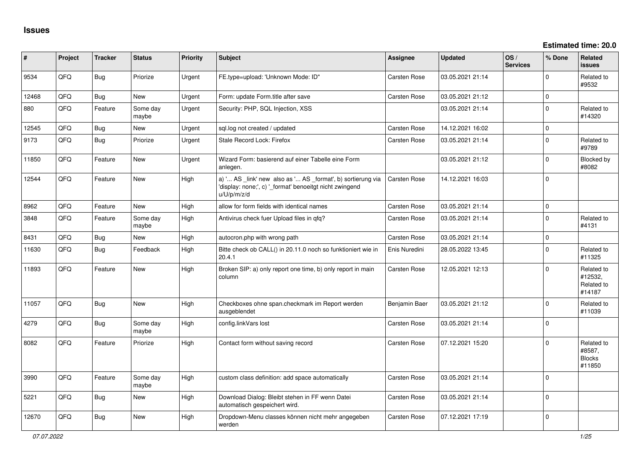| #     | Project | <b>Tracker</b> | <b>Status</b>     | <b>Priority</b> | Subject                                                                                                                             | Assignee            | <b>Updated</b>   | OS/<br><b>Services</b> | % Done       | Related<br><b>issues</b>                        |
|-------|---------|----------------|-------------------|-----------------|-------------------------------------------------------------------------------------------------------------------------------------|---------------------|------------------|------------------------|--------------|-------------------------------------------------|
| 9534  | QFQ     | Bug            | Priorize          | Urgent          | FE.type=upload: 'Unknown Mode: ID"                                                                                                  | Carsten Rose        | 03.05.2021 21:14 |                        | 0            | Related to<br>#9532                             |
| 12468 | QFQ     | Bug            | New               | Urgent          | Form: update Form.title after save                                                                                                  | <b>Carsten Rose</b> | 03.05.2021 21:12 |                        | 0            |                                                 |
| 880   | QFQ     | Feature        | Some day<br>maybe | Urgent          | Security: PHP, SQL Injection, XSS                                                                                                   |                     | 03.05.2021 21:14 |                        | $\mathbf 0$  | Related to<br>#14320                            |
| 12545 | QFQ     | Bug            | New               | Urgent          | sql.log not created / updated                                                                                                       | Carsten Rose        | 14.12.2021 16:02 |                        | $\Omega$     |                                                 |
| 9173  | QFQ     | Bug            | Priorize          | Urgent          | Stale Record Lock: Firefox                                                                                                          | <b>Carsten Rose</b> | 03.05.2021 21:14 |                        | $\mathbf{0}$ | Related to<br>#9789                             |
| 11850 | QFQ     | Feature        | <b>New</b>        | Urgent          | Wizard Form: basierend auf einer Tabelle eine Form<br>anlegen.                                                                      |                     | 03.05.2021 21:12 |                        | $\Omega$     | Blocked by<br>#8082                             |
| 12544 | QFQ     | Feature        | New               | High            | a) ' AS link' new also as ' AS format', b) sortierung via<br>'display: none;', c) ' format' benoeitgt nicht zwingend<br>u/U/p/m/z/d | <b>Carsten Rose</b> | 14.12.2021 16:03 |                        | $\mathbf 0$  |                                                 |
| 8962  | QFQ     | Feature        | <b>New</b>        | High            | allow for form fields with identical names                                                                                          | <b>Carsten Rose</b> | 03.05.2021 21:14 |                        | $\mathbf{0}$ |                                                 |
| 3848  | QFQ     | Feature        | Some day<br>maybe | High            | Antivirus check fuer Upload files in qfq?                                                                                           | <b>Carsten Rose</b> | 03.05.2021 21:14 |                        | 0            | Related to<br>#4131                             |
| 8431  | QFQ     | Bug            | New               | High            | autocron.php with wrong path                                                                                                        | <b>Carsten Rose</b> | 03.05.2021 21:14 |                        | $\mathbf 0$  |                                                 |
| 11630 | QFQ     | Bug            | Feedback          | High            | Bitte check ob CALL() in 20.11.0 noch so funktioniert wie in<br>20.4.1                                                              | Enis Nuredini       | 28.05.2022 13:45 |                        | 0            | Related to<br>#11325                            |
| 11893 | QFQ     | Feature        | <b>New</b>        | High            | Broken SIP: a) only report one time, b) only report in main<br>column                                                               | Carsten Rose        | 12.05.2021 12:13 |                        | $\mathbf 0$  | Related to<br>#12532.<br>Related to<br>#14187   |
| 11057 | QFQ     | Bug            | <b>New</b>        | High            | Checkboxes ohne span.checkmark im Report werden<br>ausgeblendet                                                                     | Benjamin Baer       | 03.05.2021 21:12 |                        | $\Omega$     | Related to<br>#11039                            |
| 4279  | QFQ     | Bug            | Some day<br>maybe | High            | config.linkVars lost                                                                                                                | Carsten Rose        | 03.05.2021 21:14 |                        | $\mathbf 0$  |                                                 |
| 8082  | QFQ     | Feature        | Priorize          | High            | Contact form without saving record                                                                                                  | <b>Carsten Rose</b> | 07.12.2021 15:20 |                        | $\mathbf 0$  | Related to<br>#8587,<br><b>Blocks</b><br>#11850 |
| 3990  | QFQ     | Feature        | Some day<br>maybe | High            | custom class definition: add space automatically                                                                                    | <b>Carsten Rose</b> | 03.05.2021 21:14 |                        | $\Omega$     |                                                 |
| 5221  | QFQ     | Bug            | New               | High            | Download Dialog: Bleibt stehen in FF wenn Datei<br>automatisch gespeichert wird.                                                    | <b>Carsten Rose</b> | 03.05.2021 21:14 |                        | $\mathbf 0$  |                                                 |
| 12670 | QFQ     | Bug            | New               | High            | Dropdown-Menu classes können nicht mehr angegeben<br>werden                                                                         | Carsten Rose        | 07.12.2021 17:19 |                        | $\mathbf 0$  |                                                 |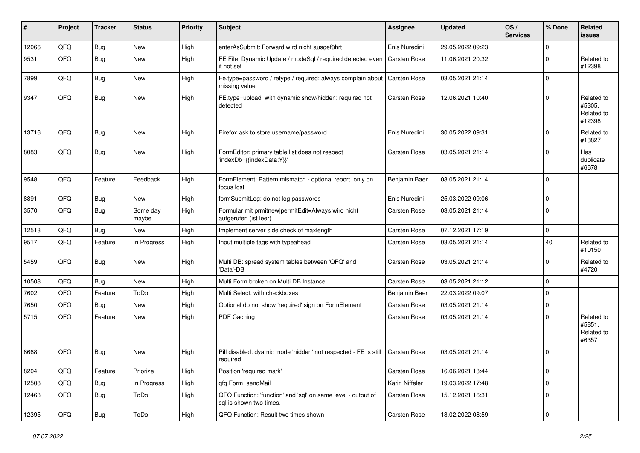| #     | Project | <b>Tracker</b> | <b>Status</b>     | <b>Priority</b> | Subject                                                                                 | Assignee             | <b>Updated</b>   | OS/<br><b>Services</b> | % Done       | Related<br>issues                            |
|-------|---------|----------------|-------------------|-----------------|-----------------------------------------------------------------------------------------|----------------------|------------------|------------------------|--------------|----------------------------------------------|
| 12066 | QFQ     | Bug            | New               | High            | enterAsSubmit: Forward wird nicht ausgeführt                                            | Enis Nuredini        | 29.05.2022 09:23 |                        | $\Omega$     |                                              |
| 9531  | QFQ     | Bug            | New               | High            | FE File: Dynamic Update / modeSql / required detected even<br>it not set                | <b>Carsten Rose</b>  | 11.06.2021 20:32 |                        | $\Omega$     | Related to<br>#12398                         |
| 7899  | QFQ     | Bug            | New               | High            | Fe.type=password / retype / required: always complain about<br>missing value            | <b>Carsten Rose</b>  | 03.05.2021 21:14 |                        | $\Omega$     |                                              |
| 9347  | QFQ     | Bug            | New               | High            | FE.type=upload with dynamic show/hidden: required not<br>detected                       | Carsten Rose         | 12.06.2021 10:40 |                        | $\Omega$     | Related to<br>#5305,<br>Related to<br>#12398 |
| 13716 | QFQ     | Bug            | <b>New</b>        | High            | Firefox ask to store username/password                                                  | Enis Nuredini        | 30.05.2022 09:31 |                        | $\Omega$     | Related to<br>#13827                         |
| 8083  | QFQ     | Bug            | New               | High            | FormEditor: primary table list does not respect<br>'indexDb={{indexData:Y}}'            | Carsten Rose         | 03.05.2021 21:14 |                        | $\Omega$     | Has<br>duplicate<br>#6678                    |
| 9548  | QFQ     | Feature        | Feedback          | High            | FormElement: Pattern mismatch - optional report only on<br>focus lost                   | <b>Benjamin Baer</b> | 03.05.2021 21:14 |                        | $\Omega$     |                                              |
| 8891  | QFQ     | Bug            | New               | High            | formSubmitLog: do not log passwords                                                     | Enis Nuredini        | 25.03.2022 09:06 |                        | $\Omega$     |                                              |
| 3570  | QFQ     | Bug            | Some day<br>maybe | High            | Formular mit prmitnew permitEdit=Always wird nicht<br>aufgerufen (ist leer)             | <b>Carsten Rose</b>  | 03.05.2021 21:14 |                        | $\Omega$     |                                              |
| 12513 | QFQ     | Bug            | New               | High            | Implement server side check of maxlength                                                | Carsten Rose         | 07.12.2021 17:19 |                        | $\mathbf 0$  |                                              |
| 9517  | QFQ     | Feature        | In Progress       | High            | Input multiple tags with typeahead                                                      | <b>Carsten Rose</b>  | 03.05.2021 21:14 |                        | 40           | Related to<br>#10150                         |
| 5459  | QFQ     | Bug            | <b>New</b>        | High            | Multi DB: spread system tables between 'QFQ' and<br>'Data'-DB                           | Carsten Rose         | 03.05.2021 21:14 |                        | $\Omega$     | Related to<br>#4720                          |
| 10508 | QFQ     | Bug            | New               | High            | Multi Form broken on Multi DB Instance                                                  | Carsten Rose         | 03.05.2021 21:12 |                        | $\Omega$     |                                              |
| 7602  | QFQ     | Feature        | ToDo              | High            | Multi Select: with checkboxes                                                           | Benjamin Baer        | 22.03.2022 09:07 |                        | $\mathbf 0$  |                                              |
| 7650  | QFQ     | Bug            | New               | High            | Optional do not show 'required' sign on FormElement                                     | Carsten Rose         | 03.05.2021 21:14 |                        | $\mathbf 0$  |                                              |
| 5715  | QFQ     | Feature        | <b>New</b>        | High            | PDF Caching                                                                             | <b>Carsten Rose</b>  | 03.05.2021 21:14 |                        | $\Omega$     | Related to<br>#5851,<br>Related to<br>#6357  |
| 8668  | QFQ     | Bug            | New               | High            | Pill disabled: dyamic mode 'hidden' not respected - FE is still<br>required             | <b>Carsten Rose</b>  | 03.05.2021 21:14 |                        | $\Omega$     |                                              |
| 8204  | QFQ     | Feature        | Priorize          | High            | Position 'required mark'                                                                | Carsten Rose         | 16.06.2021 13:44 |                        | $\mathbf{0}$ |                                              |
| 12508 | QFQ     | Bug            | In Progress       | High            | gfg Form: sendMail                                                                      | Karin Niffeler       | 19.03.2022 17:48 |                        | $\mathbf 0$  |                                              |
| 12463 | QFQ     | <b>Bug</b>     | ToDo              | High            | QFQ Function: 'function' and 'sql' on same level - output of<br>sql is shown two times. | Carsten Rose         | 15.12.2021 16:31 |                        | $\mathbf{0}$ |                                              |
| 12395 | QFQ     | <b>Bug</b>     | ToDo              | High            | QFQ Function: Result two times shown                                                    | Carsten Rose         | 18.02.2022 08:59 |                        | $\mathbf 0$  |                                              |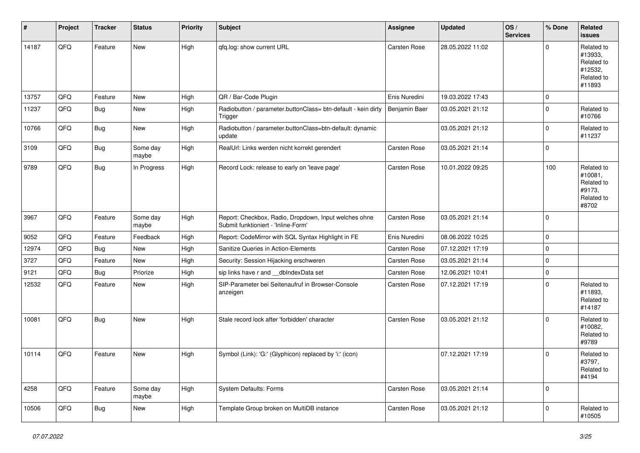| #     | Project | <b>Tracker</b> | <b>Status</b>     | <b>Priority</b> | <b>Subject</b>                                                                               | <b>Assignee</b> | <b>Updated</b>   | OS/<br><b>Services</b> | % Done         | Related<br><b>issues</b>                                               |
|-------|---------|----------------|-------------------|-----------------|----------------------------------------------------------------------------------------------|-----------------|------------------|------------------------|----------------|------------------------------------------------------------------------|
| 14187 | QFQ     | Feature        | <b>New</b>        | High            | qfq.log: show current URL                                                                    | Carsten Rose    | 28.05.2022 11:02 |                        | $\mathbf 0$    | Related to<br>#13933,<br>Related to<br>#12532,<br>Related to<br>#11893 |
| 13757 | QFQ     | Feature        | <b>New</b>        | High            | QR / Bar-Code Plugin                                                                         | Enis Nuredini   | 19.03.2022 17:43 |                        | $\mathbf 0$    |                                                                        |
| 11237 | QFQ     | <b>Bug</b>     | New               | High            | Radiobutton / parameter.buttonClass= btn-default - kein dirty<br>Trigger                     | Benjamin Baer   | 03.05.2021 21:12 |                        | $\overline{0}$ | Related to<br>#10766                                                   |
| 10766 | QFQ     | Bug            | New               | High            | Radiobutton / parameter.buttonClass=btn-default: dynamic<br>update                           |                 | 03.05.2021 21:12 |                        | $\mathbf{0}$   | Related to<br>#11237                                                   |
| 3109  | QFQ     | Bug            | Some day<br>maybe | High            | RealUrl: Links werden nicht korrekt gerendert                                                | Carsten Rose    | 03.05.2021 21:14 |                        | $\mathbf 0$    |                                                                        |
| 9789  | QFQ     | Bug            | In Progress       | High            | Record Lock: release to early on 'leave page'                                                | Carsten Rose    | 10.01.2022 09:25 |                        | 100            | Related to<br>#10081,<br>Related to<br>#9173,<br>Related to<br>#8702   |
| 3967  | QFQ     | Feature        | Some day<br>maybe | High            | Report: Checkbox, Radio, Dropdown, Input welches ohne<br>Submit funktioniert - 'Inline-Form' | Carsten Rose    | 03.05.2021 21:14 |                        | $\mathbf{0}$   |                                                                        |
| 9052  | QFQ     | Feature        | Feedback          | High            | Report: CodeMirror with SQL Syntax Highlight in FE                                           | Enis Nuredini   | 08.06.2022 10:25 |                        | $\overline{0}$ |                                                                        |
| 12974 | QFQ     | Bug            | New               | High            | Sanitize Queries in Action-Elements                                                          | Carsten Rose    | 07.12.2021 17:19 |                        | $\mathbf 0$    |                                                                        |
| 3727  | QFQ     | Feature        | New               | High            | Security: Session Hijacking erschweren                                                       | Carsten Rose    | 03.05.2021 21:14 |                        | $\overline{0}$ |                                                                        |
| 9121  | QFQ     | Bug            | Priorize          | High            | sip links have r and __dbIndexData set                                                       | Carsten Rose    | 12.06.2021 10:41 |                        | $\mathbf 0$    |                                                                        |
| 12532 | QFQ     | Feature        | New               | High            | SIP-Parameter bei Seitenaufruf in Browser-Console<br>anzeigen                                | Carsten Rose    | 07.12.2021 17:19 |                        | $\overline{0}$ | Related to<br>#11893,<br>Related to<br>#14187                          |
| 10081 | QFQ     | Bug            | New               | High            | Stale record lock after 'forbidden' character                                                | Carsten Rose    | 03.05.2021 21:12 |                        | $\overline{0}$ | Related to<br>#10082,<br>Related to<br>#9789                           |
| 10114 | QFQ     | Feature        | New               | High            | Symbol (Link): 'G:' (Glyphicon) replaced by 'i:' (icon)                                      |                 | 07.12.2021 17:19 |                        | $\mathbf{0}$   | Related to<br>#3797,<br>Related to<br>#4194                            |
| 4258  | QFQ     | Feature        | Some day<br>maybe | High            | System Defaults: Forms                                                                       | Carsten Rose    | 03.05.2021 21:14 |                        | $\mathbf 0$    |                                                                        |
| 10506 | QFQ     | Bug            | New               | High            | Template Group broken on MultiDB instance                                                    | Carsten Rose    | 03.05.2021 21:12 |                        | $\mathbf 0$    | Related to<br>#10505                                                   |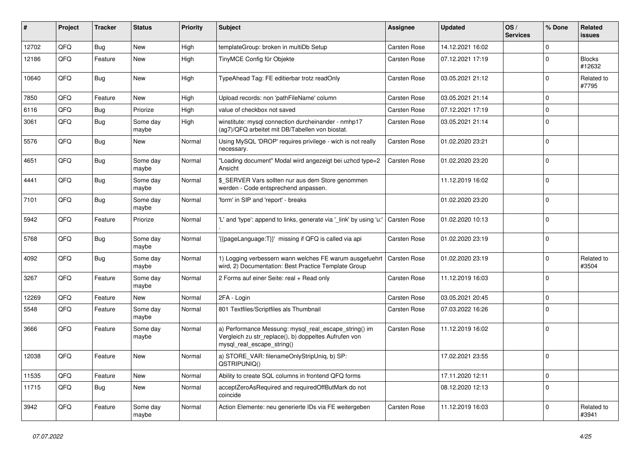| ∦     | Project | <b>Tracker</b> | <b>Status</b>     | <b>Priority</b> | <b>Subject</b>                                                                                                                               | <b>Assignee</b>     | <b>Updated</b>   | OS/<br><b>Services</b> | % Done         | Related<br>issues       |
|-------|---------|----------------|-------------------|-----------------|----------------------------------------------------------------------------------------------------------------------------------------------|---------------------|------------------|------------------------|----------------|-------------------------|
| 12702 | QFQ     | Bug            | New               | High            | templateGroup: broken in multiDb Setup                                                                                                       | <b>Carsten Rose</b> | 14.12.2021 16:02 |                        | $\Omega$       |                         |
| 12186 | QFQ     | Feature        | <b>New</b>        | High            | TinyMCE Config für Objekte                                                                                                                   | Carsten Rose        | 07.12.2021 17:19 |                        | $\mathbf 0$    | <b>Blocks</b><br>#12632 |
| 10640 | QFQ     | Bug            | New               | High            | TypeAhead Tag: FE editierbar trotz readOnly                                                                                                  | Carsten Rose        | 03.05.2021 21:12 |                        | $\mathbf 0$    | Related to<br>#7795     |
| 7850  | QFQ     | Feature        | New               | High            | Upload records: non 'pathFileName' column                                                                                                    | Carsten Rose        | 03.05.2021 21:14 |                        | $\mathbf 0$    |                         |
| 6116  | QFQ     | Bug            | Priorize          | High            | value of checkbox not saved                                                                                                                  | Carsten Rose        | 07.12.2021 17:19 |                        | $\mathbf 0$    |                         |
| 3061  | QFQ     | Bug            | Some day<br>maybe | High            | winstitute: mysql connection durcheinander - nmhp17<br>(ag7)/QFQ arbeitet mit DB/Tabellen von biostat.                                       | Carsten Rose        | 03.05.2021 21:14 |                        | $\Omega$       |                         |
| 5576  | QFQ     | Bug            | <b>New</b>        | Normal          | Using MySQL 'DROP' requires privilege - wich is not really<br>necessary.                                                                     | Carsten Rose        | 01.02.2020 23:21 |                        | $\mathbf 0$    |                         |
| 4651  | QFQ     | Bug            | Some day<br>maybe | Normal          | "Loading document" Modal wird angezeigt bei uzhcd type=2<br>Ansicht                                                                          | Carsten Rose        | 01.02.2020 23:20 |                        | $\mathbf 0$    |                         |
| 4441  | QFQ     | Bug            | Some day<br>maybe | Normal          | \$ SERVER Vars sollten nur aus dem Store genommen<br>werden - Code entsprechend anpassen.                                                    |                     | 11.12.2019 16:02 |                        | $\overline{0}$ |                         |
| 7101  | QFQ     | Bug            | Some day<br>maybe | Normal          | 'form' in SIP and 'report' - breaks                                                                                                          |                     | 01.02.2020 23:20 |                        | $\Omega$       |                         |
| 5942  | QFQ     | Feature        | Priorize          | Normal          | "L' and 'type': append to links, generate via 'link' by using 'u:"                                                                           | Carsten Rose        | 01.02.2020 10:13 |                        | $\mathbf 0$    |                         |
| 5768  | QFQ     | Bug            | Some day<br>maybe | Normal          | {{pageLanguage:T}}' missing if QFQ is called via api                                                                                         | Carsten Rose        | 01.02.2020 23:19 |                        | 0              |                         |
| 4092  | QFQ     | Bug            | Some day<br>maybe | Normal          | 1) Logging verbessern wann welches FE warum ausgefuehrt<br>wird, 2) Documentation: Best Practice Template Group                              | Carsten Rose        | 01.02.2020 23:19 |                        | $\Omega$       | Related to<br>#3504     |
| 3267  | QFQ     | Feature        | Some day<br>maybe | Normal          | 2 Forms auf einer Seite: real + Read only                                                                                                    | Carsten Rose        | 11.12.2019 16:03 |                        | 0              |                         |
| 12269 | QFQ     | Feature        | New               | Normal          | 2FA - Login                                                                                                                                  | <b>Carsten Rose</b> | 03.05.2021 20:45 |                        | $\mathbf 0$    |                         |
| 5548  | QFQ     | Feature        | Some day<br>maybe | Normal          | 801 Textfiles/Scriptfiles als Thumbnail                                                                                                      | Carsten Rose        | 07.03.2022 16:26 |                        | $\Omega$       |                         |
| 3666  | QFQ     | Feature        | Some day<br>maybe | Normal          | a) Performance Messung: mysql_real_escape_string() im<br>Vergleich zu str_replace(), b) doppeltes Aufrufen von<br>mysql_real_escape_string() | Carsten Rose        | 11.12.2019 16:02 |                        | 0              |                         |
| 12038 | QFQ     | Feature        | <b>New</b>        | Normal          | a) STORE_VAR: filenameOnlyStripUniq, b) SP:<br>QSTRIPUNIQ()                                                                                  |                     | 17.02.2021 23:55 |                        | $\mathbf 0$    |                         |
| 11535 | QFQ     | Feature        | New               | Normal          | Ability to create SQL columns in frontend QFQ forms                                                                                          |                     | 17.11.2020 12:11 |                        | $\mathbf 0$    |                         |
| 11715 | QFQ     | <b>Bug</b>     | New               | Normal          | acceptZeroAsRequired and requiredOffButMark do not<br>coincide                                                                               |                     | 08.12.2020 12:13 |                        | 0              |                         |
| 3942  | QFQ     | Feature        | Some day<br>maybe | Normal          | Action Elemente: neu generierte IDs via FE weitergeben                                                                                       | Carsten Rose        | 11.12.2019 16:03 |                        | $\mathbf 0$    | Related to<br>#3941     |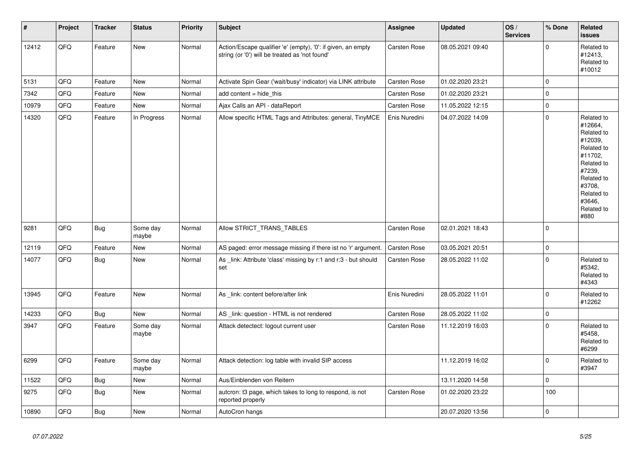| $\vert$ # | Project | <b>Tracker</b> | <b>Status</b>     | <b>Priority</b> | Subject                                                                                                        | Assignee            | <b>Updated</b>   | OS/<br><b>Services</b> | % Done       | Related<br><b>issues</b>                                                                                                                                              |
|-----------|---------|----------------|-------------------|-----------------|----------------------------------------------------------------------------------------------------------------|---------------------|------------------|------------------------|--------------|-----------------------------------------------------------------------------------------------------------------------------------------------------------------------|
| 12412     | QFQ     | Feature        | New               | Normal          | Action/Escape qualifier 'e' (empty), '0': if given, an empty<br>string (or '0') will be treated as 'not found' | Carsten Rose        | 08.05.2021 09:40 |                        | $\mathbf 0$  | Related to<br>#12413,<br>Related to<br>#10012                                                                                                                         |
| 5131      | QFQ     | Feature        | New               | Normal          | Activate Spin Gear ('wait/busy' indicator) via LINK attribute                                                  | Carsten Rose        | 01.02.2020 23:21 |                        | $\mathbf 0$  |                                                                                                                                                                       |
| 7342      | QFQ     | Feature        | New               | Normal          | add content $=$ hide this                                                                                      | Carsten Rose        | 01.02.2020 23:21 |                        | $\mathbf 0$  |                                                                                                                                                                       |
| 10979     | QFQ     | Feature        | New               | Normal          | Ajax Calls an API - dataReport                                                                                 | Carsten Rose        | 11.05.2022 12:15 |                        | $\mathbf 0$  |                                                                                                                                                                       |
| 14320     | QFQ     | Feature        | In Progress       | Normal          | Allow specific HTML Tags and Attributes: general, TinyMCE                                                      | Enis Nuredini       | 04.07.2022 14:09 |                        | $\mathbf 0$  | Related to<br>#12664,<br>Related to<br>#12039,<br>Related to<br>#11702,<br>Related to<br>#7239,<br>Related to<br>#3708,<br>Related to<br>#3646,<br>Related to<br>#880 |
| 9281      | QFQ     | <b>Bug</b>     | Some day<br>maybe | Normal          | Allow STRICT_TRANS_TABLES                                                                                      | Carsten Rose        | 02.01.2021 18:43 |                        | $\mathbf{0}$ |                                                                                                                                                                       |
| 12119     | QFQ     | Feature        | <b>New</b>        | Normal          | AS paged: error message missing if there ist no 'r' argument.                                                  | <b>Carsten Rose</b> | 03.05.2021 20:51 |                        | $\mathbf 0$  |                                                                                                                                                                       |
| 14077     | QFQ     | Bug            | <b>New</b>        | Normal          | As _link: Attribute 'class' missing by r:1 and r:3 - but should<br>set                                         | Carsten Rose        | 28.05.2022 11:02 |                        | $\mathbf 0$  | Related to<br>#5342,<br>Related to<br>#4343                                                                                                                           |
| 13945     | QFQ     | Feature        | <b>New</b>        | Normal          | As link: content before/after link                                                                             | Enis Nuredini       | 28.05.2022 11:01 |                        | $\mathbf 0$  | Related to<br>#12262                                                                                                                                                  |
| 14233     | QFQ     | <b>Bug</b>     | New               | Normal          | AS _link: question - HTML is not rendered                                                                      | Carsten Rose        | 28.05.2022 11:02 |                        | $\mathbf 0$  |                                                                                                                                                                       |
| 3947      | QFQ     | Feature        | Some day<br>maybe | Normal          | Attack detectect: logout current user                                                                          | <b>Carsten Rose</b> | 11.12.2019 16:03 |                        | $\Omega$     | Related to<br>#5458,<br>Related to<br>#6299                                                                                                                           |
| 6299      | QFQ     | Feature        | Some day<br>maybe | Normal          | Attack detection: log table with invalid SIP access                                                            |                     | 11.12.2019 16:02 |                        | $\mathbf{0}$ | Related to<br>#3947                                                                                                                                                   |
| 11522     | QFQ     | <b>Bug</b>     | New               | Normal          | Aus/Einblenden von Reitern                                                                                     |                     | 13.11.2020 14:58 |                        | $\mathbf 0$  |                                                                                                                                                                       |
| 9275      | QFQ     | <b>Bug</b>     | New               | Normal          | auteron: t3 page, which takes to long to respond, is not<br>reported properly                                  | <b>Carsten Rose</b> | 01.02.2020 23:22 |                        | 100          |                                                                                                                                                                       |
| 10890     | QFQ     | <b>Bug</b>     | New               | Normal          | AutoCron hangs                                                                                                 |                     | 20.07.2020 13:56 |                        | $\mathbf 0$  |                                                                                                                                                                       |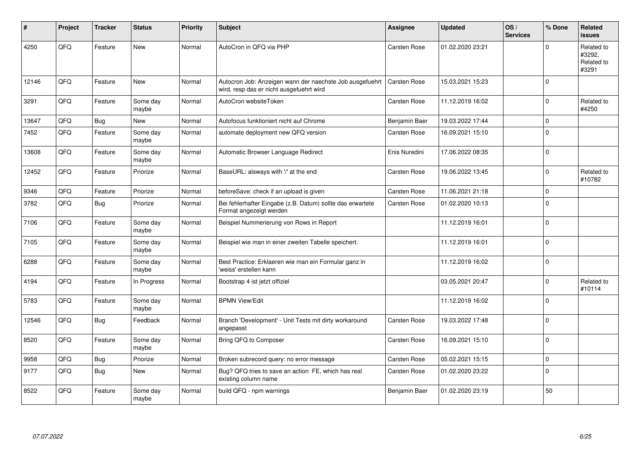| #     | Project | <b>Tracker</b> | <b>Status</b>     | <b>Priority</b> | <b>Subject</b>                                                                                       | Assignee            | <b>Updated</b>   | OS/<br><b>Services</b> | % Done         | Related<br>issues                           |
|-------|---------|----------------|-------------------|-----------------|------------------------------------------------------------------------------------------------------|---------------------|------------------|------------------------|----------------|---------------------------------------------|
| 4250  | QFQ     | Feature        | <b>New</b>        | Normal          | AutoCron in QFQ via PHP                                                                              | Carsten Rose        | 01.02.2020 23:21 |                        | $\Omega$       | Related to<br>#3292,<br>Related to<br>#3291 |
| 12146 | QFQ     | Feature        | <b>New</b>        | Normal          | Autocron Job: Anzeigen wann der naechste Job ausgefuehrt<br>wird, resp das er nicht ausgefuehrt wird | Carsten Rose        | 15.03.2021 15:23 |                        | $\Omega$       |                                             |
| 3291  | QFQ     | Feature        | Some day<br>maybe | Normal          | AutoCron websiteToken                                                                                | Carsten Rose        | 11.12.2019 16:02 |                        | $\mathbf 0$    | Related to<br>#4250                         |
| 13647 | QFQ     | Bug            | <b>New</b>        | Normal          | Autofocus funktioniert nicht auf Chrome                                                              | Benjamin Baer       | 19.03.2022 17:44 |                        | $\overline{0}$ |                                             |
| 7452  | QFQ     | Feature        | Some day<br>maybe | Normal          | automate deployment new QFQ version                                                                  | Carsten Rose        | 16.09.2021 15:10 |                        | $\overline{0}$ |                                             |
| 13608 | QFQ     | Feature        | Some day<br>maybe | Normal          | Automatic Browser Language Redirect                                                                  | Enis Nuredini       | 17.06.2022 08:35 |                        | $\Omega$       |                                             |
| 12452 | QFQ     | Feature        | Priorize          | Normal          | BaseURL: alsways with '/' at the end                                                                 | Carsten Rose        | 19.06.2022 13:45 |                        | $\overline{0}$ | Related to<br>#10782                        |
| 9346  | QFQ     | Feature        | Priorize          | Normal          | beforeSave: check if an upload is given                                                              | <b>Carsten Rose</b> | 11.06.2021 21:18 |                        | $\Omega$       |                                             |
| 3782  | QFQ     | Bug            | Priorize          | Normal          | Bei fehlerhafter Eingabe (z.B. Datum) sollte das erwartete<br>Format angezeigt werden                | Carsten Rose        | 01.02.2020 10:13 |                        | $\overline{0}$ |                                             |
| 7106  | QFQ     | Feature        | Some day<br>maybe | Normal          | Beispiel Nummerierung von Rows in Report                                                             |                     | 11.12.2019 16:01 |                        | $\mathbf 0$    |                                             |
| 7105  | QFQ     | Feature        | Some day<br>maybe | Normal          | Beispiel wie man in einer zweiten Tabelle speichert.                                                 |                     | 11.12.2019 16:01 |                        | $\Omega$       |                                             |
| 6288  | QFQ     | Feature        | Some day<br>maybe | Normal          | Best Practice: Erklaeren wie man ein Formular ganz in<br>'weiss' erstellen kann                      |                     | 11.12.2019 16:02 |                        | $\overline{0}$ |                                             |
| 4194  | QFQ     | Feature        | In Progress       | Normal          | Bootstrap 4 ist jetzt offiziel                                                                       |                     | 03.05.2021 20:47 |                        | $\Omega$       | Related to<br>#10114                        |
| 5783  | QFQ     | Feature        | Some day<br>maybe | Normal          | <b>BPMN View/Edit</b>                                                                                |                     | 11.12.2019 16:02 |                        | $\Omega$       |                                             |
| 12546 | QFQ     | Bug            | Feedback          | Normal          | Branch 'Development' - Unit Tests mit dirty workaround<br>angepasst                                  | Carsten Rose        | 19.03.2022 17:48 |                        | $\overline{0}$ |                                             |
| 8520  | QFQ     | Feature        | Some day<br>maybe | Normal          | Bring QFQ to Composer                                                                                | Carsten Rose        | 16.09.2021 15:10 |                        | $\overline{0}$ |                                             |
| 9958  | QFQ     | <b>Bug</b>     | Priorize          | Normal          | Broken subrecord query: no error message                                                             | Carsten Rose        | 05.02.2021 15:15 |                        | $\Omega$       |                                             |
| 9177  | QFQ     | Bug            | <b>New</b>        | Normal          | Bug? QFQ tries to save an action FE, which has real<br>existing column name                          | Carsten Rose        | 01.02.2020 23:22 |                        | $\Omega$       |                                             |
| 8522  | QFQ     | Feature        | Some day<br>maybe | Normal          | build QFQ - npm warnings                                                                             | Benjamin Baer       | 01.02.2020 23:19 |                        | 50             |                                             |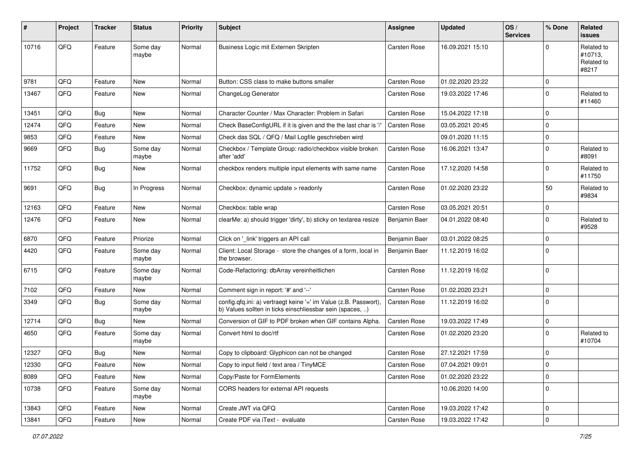| #     | Project | <b>Tracker</b> | <b>Status</b>     | <b>Priority</b> | <b>Subject</b>                                                                                                                | <b>Assignee</b> | <b>Updated</b>   | OS/<br><b>Services</b> | % Done         | Related<br><b>issues</b>                     |
|-------|---------|----------------|-------------------|-----------------|-------------------------------------------------------------------------------------------------------------------------------|-----------------|------------------|------------------------|----------------|----------------------------------------------|
| 10716 | QFQ     | Feature        | Some day<br>maybe | Normal          | Business Logic mit Externen Skripten                                                                                          | Carsten Rose    | 16.09.2021 15:10 |                        | $\Omega$       | Related to<br>#10713,<br>Related to<br>#8217 |
| 9781  | QFQ     | Feature        | New               | Normal          | Button: CSS class to make buttons smaller                                                                                     | Carsten Rose    | 01.02.2020 23:22 |                        | $\Omega$       |                                              |
| 13467 | QFQ     | Feature        | New               | Normal          | ChangeLog Generator                                                                                                           | Carsten Rose    | 19.03.2022 17:46 |                        | $\Omega$       | Related to<br>#11460                         |
| 13451 | QFQ     | Bug            | New               | Normal          | Character Counter / Max Character: Problem in Safari                                                                          | Carsten Rose    | 15.04.2022 17:18 |                        | $\Omega$       |                                              |
| 12474 | QFQ     | Feature        | New               | Normal          | Check BaseConfigURL if it is given and the the last char is '/'                                                               | Carsten Rose    | 03.05.2021 20:45 |                        | $\Omega$       |                                              |
| 9853  | QFQ     | Feature        | New               | Normal          | Check das SQL / QFQ / Mail Logfile geschrieben wird                                                                           |                 | 09.01.2020 11:15 |                        | $\mathbf 0$    |                                              |
| 9669  | QFQ     | Bug            | Some day<br>maybe | Normal          | Checkbox / Template Group: radio/checkbox visible broken<br>after 'add'                                                       | Carsten Rose    | 16.06.2021 13:47 |                        | $\Omega$       | Related to<br>#8091                          |
| 11752 | QFQ     | Bug            | New               | Normal          | checkbox renders multiple input elements with same name                                                                       | Carsten Rose    | 17.12.2020 14:58 |                        | $\Omega$       | Related to<br>#11750                         |
| 9691  | QFQ     | Bug            | In Progress       | Normal          | Checkbox: dynamic update > readonly                                                                                           | Carsten Rose    | 01.02.2020 23:22 |                        | 50             | Related to<br>#9834                          |
| 12163 | QFQ     | Feature        | <b>New</b>        | Normal          | Checkbox: table wrap                                                                                                          | Carsten Rose    | 03.05.2021 20:51 |                        | $\mathbf 0$    |                                              |
| 12476 | QFQ     | Feature        | New               | Normal          | clearMe: a) should trigger 'dirty', b) sticky on textarea resize                                                              | Benjamin Baer   | 04.01.2022 08:40 |                        | $\mathbf 0$    | Related to<br>#9528                          |
| 6870  | QFQ     | Feature        | Priorize          | Normal          | Click on '_link' triggers an API call                                                                                         | Benjamin Baer   | 03.01.2022 08:25 |                        | $\Omega$       |                                              |
| 4420  | QFQ     | Feature        | Some day<br>maybe | Normal          | Client: Local Storage - store the changes of a form, local in<br>the browser.                                                 | Benjamin Baer   | 11.12.2019 16:02 |                        | $\Omega$       |                                              |
| 6715  | QFQ     | Feature        | Some day<br>maybe | Normal          | Code-Refactoring: dbArray vereinheitlichen                                                                                    | Carsten Rose    | 11.12.2019 16:02 |                        | $\Omega$       |                                              |
| 7102  | QFQ     | Feature        | New               | Normal          | Comment sign in report: '#' and '--'                                                                                          | Carsten Rose    | 01.02.2020 23:21 |                        | $\mathbf 0$    |                                              |
| 3349  | QFQ     | <b>Bug</b>     | Some day<br>maybe | Normal          | config.qfq.ini: a) vertraegt keine '=' im Value (z.B. Passwort),<br>b) Values sollten in ticks einschliessbar sein (spaces, ) | Carsten Rose    | 11.12.2019 16:02 |                        | $\Omega$       |                                              |
| 12714 | QFQ     | Bug            | New               | Normal          | Conversion of GIF to PDF broken when GIF contains Alpha.                                                                      | Carsten Rose    | 19.03.2022 17:49 |                        | $\mathbf 0$    |                                              |
| 4650  | QFQ     | Feature        | Some day<br>maybe | Normal          | Convert html to doc/rtf                                                                                                       | Carsten Rose    | 01.02.2020 23:20 |                        | $\Omega$       | Related to<br>#10704                         |
| 12327 | QFQ     | <b>Bug</b>     | New               | Normal          | Copy to clipboard: Glyphicon can not be changed                                                                               | Carsten Rose    | 27.12.2021 17:59 |                        | $\Omega$       |                                              |
| 12330 | QFQ     | Feature        | New               | Normal          | Copy to input field / text area / TinyMCE                                                                                     | Carsten Rose    | 07.04.2021 09:01 |                        | 0              |                                              |
| 8089  | QFQ     | Feature        | New               | Normal          | Copy/Paste for FormElements                                                                                                   | Carsten Rose    | 01.02.2020 23:22 |                        | $\overline{0}$ |                                              |
| 10738 | QFQ     | Feature        | Some day<br>maybe | Normal          | CORS headers for external API requests                                                                                        |                 | 10.06.2020 14:00 |                        | 0              |                                              |
| 13843 | QFQ     | Feature        | New               | Normal          | Create JWT via QFQ                                                                                                            | Carsten Rose    | 19.03.2022 17:42 |                        | $\overline{0}$ |                                              |
| 13841 | QFQ     | Feature        | New               | Normal          | Create PDF via iText - evaluate                                                                                               | Carsten Rose    | 19.03.2022 17:42 |                        | $\overline{0}$ |                                              |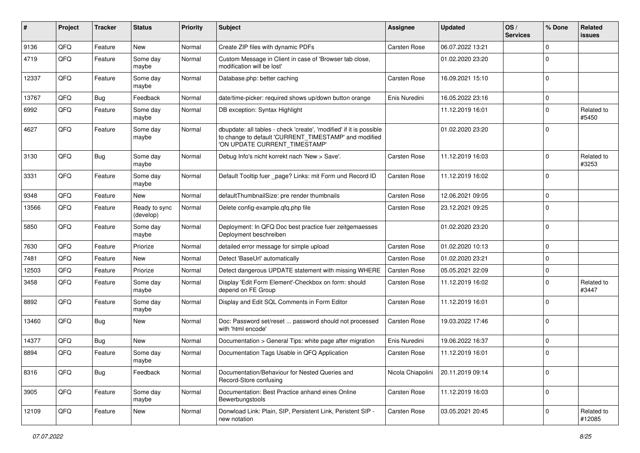| ∦     | Project | <b>Tracker</b> | <b>Status</b>              | <b>Priority</b> | <b>Subject</b>                                                                                                                                                | Assignee            | <b>Updated</b>   | OS/<br><b>Services</b> | % Done      | Related<br>issues    |
|-------|---------|----------------|----------------------------|-----------------|---------------------------------------------------------------------------------------------------------------------------------------------------------------|---------------------|------------------|------------------------|-------------|----------------------|
| 9136  | QFQ     | Feature        | New                        | Normal          | Create ZIP files with dynamic PDFs                                                                                                                            | Carsten Rose        | 06.07.2022 13:21 |                        | $\Omega$    |                      |
| 4719  | QFQ     | Feature        | Some day<br>maybe          | Normal          | Custom Message in Client in case of 'Browser tab close,<br>modification will be lost'                                                                         |                     | 01.02.2020 23:20 |                        | 0           |                      |
| 12337 | QFQ     | Feature        | Some day<br>maybe          | Normal          | Database.php: better caching                                                                                                                                  | Carsten Rose        | 16.09.2021 15:10 |                        | $\Omega$    |                      |
| 13767 | QFQ     | Bug            | Feedback                   | Normal          | date/time-picker: required shows up/down button orange                                                                                                        | Enis Nuredini       | 16.05.2022 23:16 |                        | $\Omega$    |                      |
| 6992  | QFQ     | Feature        | Some day<br>maybe          | Normal          | DB exception: Syntax Highlight                                                                                                                                |                     | 11.12.2019 16:01 |                        | $\mathbf 0$ | Related to<br>#5450  |
| 4627  | QFQ     | Feature        | Some day<br>maybe          | Normal          | dbupdate: all tables - check 'create', 'modified' if it is possible<br>to change to default 'CURRENT_TIMESTAMP' and modified<br>'ON UPDATE CURRENT_TIMESTAMP' |                     | 01.02.2020 23:20 |                        | $\Omega$    |                      |
| 3130  | QFQ     | Bug            | Some day<br>maybe          | Normal          | Debug Info's nicht korrekt nach 'New > Save'.                                                                                                                 | Carsten Rose        | 11.12.2019 16:03 |                        | 0           | Related to<br>#3253  |
| 3331  | QFQ     | Feature        | Some day<br>maybe          | Normal          | Default Tooltip fuer _page? Links: mit Form und Record ID                                                                                                     | Carsten Rose        | 11.12.2019 16:02 |                        | $\Omega$    |                      |
| 9348  | QFQ     | Feature        | <b>New</b>                 | Normal          | defaultThumbnailSize: pre render thumbnails                                                                                                                   | Carsten Rose        | 12.06.2021 09:05 |                        | 0           |                      |
| 13566 | QFQ     | Feature        | Ready to sync<br>(develop) | Normal          | Delete config-example.qfq.php file                                                                                                                            | <b>Carsten Rose</b> | 23.12.2021 09:25 |                        | $\Omega$    |                      |
| 5850  | QFQ     | Feature        | Some day<br>maybe          | Normal          | Deployment: In QFQ Doc best practice fuer zeitgemaesses<br>Deployment beschreiben                                                                             |                     | 01.02.2020 23:20 |                        | $\Omega$    |                      |
| 7630  | QFQ     | Feature        | Priorize                   | Normal          | detailed error message for simple upload                                                                                                                      | Carsten Rose        | 01.02.2020 10:13 |                        | $\Omega$    |                      |
| 7481  | QFQ     | Feature        | New                        | Normal          | Detect 'BaseUrl' automatically                                                                                                                                | Carsten Rose        | 01.02.2020 23:21 |                        | 0           |                      |
| 12503 | QFQ     | Feature        | Priorize                   | Normal          | Detect dangerous UPDATE statement with missing WHERE                                                                                                          | Carsten Rose        | 05.05.2021 22:09 |                        | 0           |                      |
| 3458  | QFQ     | Feature        | Some day<br>maybe          | Normal          | Display 'Edit Form Element'-Checkbox on form: should<br>depend on FE Group                                                                                    | Carsten Rose        | 11.12.2019 16:02 |                        | 0           | Related to<br>#3447  |
| 8892  | QFQ     | Feature        | Some day<br>maybe          | Normal          | Display and Edit SQL Comments in Form Editor                                                                                                                  | Carsten Rose        | 11.12.2019 16:01 |                        | $\Omega$    |                      |
| 13460 | QFQ     | Bug            | <b>New</b>                 | Normal          | Doc: Password set/reset  password should not processed<br>with 'html encode'                                                                                  | Carsten Rose        | 19.03.2022 17:46 |                        | $\Omega$    |                      |
| 14377 | QFQ     | <b>Bug</b>     | <b>New</b>                 | Normal          | Documentation > General Tips: white page after migration                                                                                                      | Enis Nuredini       | 19.06.2022 16:37 |                        | 0           |                      |
| 8894  | QFQ     | Feature        | Some day<br>maybe          | Normal          | Documentation Tags Usable in QFQ Application                                                                                                                  | <b>Carsten Rose</b> | 11.12.2019 16:01 |                        | 0           |                      |
| 8316  | QFQ     | Bug            | Feedback                   | Normal          | Documentation/Behaviour for Nested Queries and<br>Record-Store confusing                                                                                      | Nicola Chiapolini   | 20.11.2019 09:14 |                        | $\mathbf 0$ |                      |
| 3905  | QFQ     | Feature        | Some day<br>maybe          | Normal          | Documentation: Best Practice anhand eines Online<br>Bewerbungstools                                                                                           | Carsten Rose        | 11.12.2019 16:03 |                        | 0           |                      |
| 12109 | QFQ     | Feature        | New                        | Normal          | Donwload Link: Plain, SIP, Persistent Link, Peristent SIP -<br>new notation                                                                                   | Carsten Rose        | 03.05.2021 20:45 |                        | 0           | Related to<br>#12085 |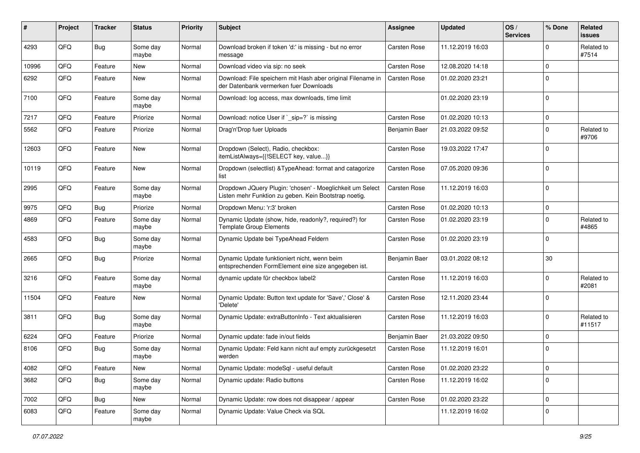| ∦     | Project | <b>Tracker</b> | <b>Status</b>     | <b>Priority</b> | <b>Subject</b>                                                                                                     | Assignee            | <b>Updated</b>   | OS/<br><b>Services</b> | % Done       | Related<br><b>issues</b> |
|-------|---------|----------------|-------------------|-----------------|--------------------------------------------------------------------------------------------------------------------|---------------------|------------------|------------------------|--------------|--------------------------|
| 4293  | QFQ     | Bug            | Some day<br>maybe | Normal          | Download broken if token 'd:' is missing - but no error<br>message                                                 | <b>Carsten Rose</b> | 11.12.2019 16:03 |                        | <sup>0</sup> | Related to<br>#7514      |
| 10996 | QFQ     | Feature        | New               | Normal          | Download video via sip: no seek                                                                                    | Carsten Rose        | 12.08.2020 14:18 |                        | 0            |                          |
| 6292  | QFQ     | Feature        | New               | Normal          | Download: File speichern mit Hash aber original Filename in<br>der Datenbank vermerken fuer Downloads              | <b>Carsten Rose</b> | 01.02.2020 23:21 |                        | $\Omega$     |                          |
| 7100  | QFQ     | Feature        | Some day<br>maybe | Normal          | Download: log access, max downloads, time limit                                                                    |                     | 01.02.2020 23:19 |                        | $\Omega$     |                          |
| 7217  | QFQ     | Feature        | Priorize          | Normal          | Download: notice User if `_sip=?` is missing                                                                       | Carsten Rose        | 01.02.2020 10:13 |                        | 0            |                          |
| 5562  | QFQ     | Feature        | Priorize          | Normal          | Drag'n'Drop fuer Uploads                                                                                           | Benjamin Baer       | 21.03.2022 09:52 |                        | 0            | Related to<br>#9706      |
| 12603 | QFQ     | Feature        | <b>New</b>        | Normal          | Dropdown (Select), Radio, checkbox:<br>itemListAlways={{!SELECT key, value}}                                       | Carsten Rose        | 19.03.2022 17:47 |                        | 0            |                          |
| 10119 | QFQ     | Feature        | <b>New</b>        | Normal          | Dropdown (selectlist) & TypeAhead: format and catagorize<br>list                                                   | <b>Carsten Rose</b> | 07.05.2020 09:36 |                        | 0            |                          |
| 2995  | QFQ     | Feature        | Some day<br>maybe | Normal          | Dropdown JQuery Plugin: 'chosen' - Moeglichkeit um Select<br>Listen mehr Funktion zu geben. Kein Bootstrap noetig. | <b>Carsten Rose</b> | 11.12.2019 16:03 |                        | $\Omega$     |                          |
| 9975  | QFQ     | Bug            | Priorize          | Normal          | Dropdown Menu: 'r:3' broken                                                                                        | Carsten Rose        | 01.02.2020 10:13 |                        | $\mathbf 0$  |                          |
| 4869  | QFQ     | Feature        | Some day<br>maybe | Normal          | Dynamic Update (show, hide, readonly?, required?) for<br><b>Template Group Elements</b>                            | <b>Carsten Rose</b> | 01.02.2020 23:19 |                        | $\mathbf 0$  | Related to<br>#4865      |
| 4583  | QFQ     | Bug            | Some day<br>maybe | Normal          | Dynamic Update bei TypeAhead Feldern                                                                               | Carsten Rose        | 01.02.2020 23:19 |                        | $\Omega$     |                          |
| 2665  | QFQ     | Bug            | Priorize          | Normal          | Dynamic Update funktioniert nicht, wenn beim<br>entsprechenden FormElement eine size angegeben ist.                | Benjamin Baer       | 03.01.2022 08:12 |                        | 30           |                          |
| 3216  | QFQ     | Feature        | Some day<br>maybe | Normal          | dynamic update für checkbox label2                                                                                 | Carsten Rose        | 11.12.2019 16:03 |                        | 0            | Related to<br>#2081      |
| 11504 | QFQ     | Feature        | New               | Normal          | Dynamic Update: Button text update for 'Save',' Close' &<br>'Delete'                                               | <b>Carsten Rose</b> | 12.11.2020 23:44 |                        | $\Omega$     |                          |
| 3811  | QFQ     | Bug            | Some day<br>maybe | Normal          | Dynamic Update: extraButtonInfo - Text aktualisieren                                                               | <b>Carsten Rose</b> | 11.12.2019 16:03 |                        | $\Omega$     | Related to<br>#11517     |
| 6224  | QFQ     | Feature        | Priorize          | Normal          | Dynamic update: fade in/out fields                                                                                 | Benjamin Baer       | 21.03.2022 09:50 |                        | 0            |                          |
| 8106  | QFQ     | Bug            | Some day<br>maybe | Normal          | Dynamic Update: Feld kann nicht auf empty zurückgesetzt<br>werden                                                  | <b>Carsten Rose</b> | 11.12.2019 16:01 |                        | 0            |                          |
| 4082  | QFG     | Feature        | New               | Normal          | Dynamic Update: modeSql - useful default                                                                           | Carsten Rose        | 01.02.2020 23:22 |                        | $\mathbf 0$  |                          |
| 3682  | QFQ     | <b>Bug</b>     | Some day<br>maybe | Normal          | Dynamic update: Radio buttons                                                                                      | Carsten Rose        | 11.12.2019 16:02 |                        | 0            |                          |
| 7002  | QFQ     | <b>Bug</b>     | New               | Normal          | Dynamic Update: row does not disappear / appear                                                                    | Carsten Rose        | 01.02.2020 23:22 |                        | $\mathbf 0$  |                          |
| 6083  | QFQ     | Feature        | Some day<br>maybe | Normal          | Dynamic Update: Value Check via SQL                                                                                |                     | 11.12.2019 16:02 |                        | 0            |                          |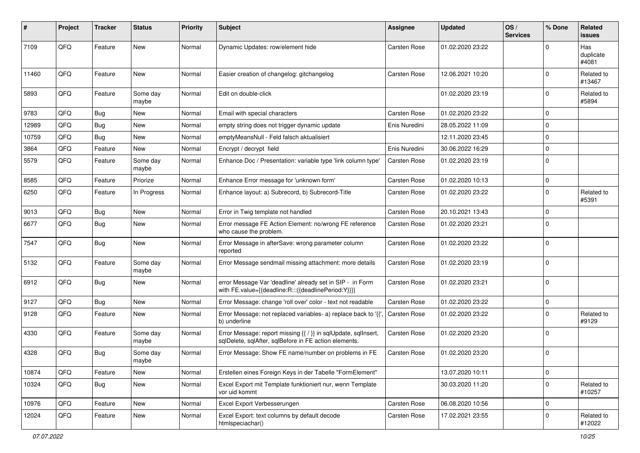| ∦     | Project | <b>Tracker</b> | <b>Status</b>     | <b>Priority</b> | <b>Subject</b>                                                                                                          | <b>Assignee</b>     | <b>Updated</b>   | OS/<br><b>Services</b> | % Done         | Related<br>issues         |
|-------|---------|----------------|-------------------|-----------------|-------------------------------------------------------------------------------------------------------------------------|---------------------|------------------|------------------------|----------------|---------------------------|
| 7109  | QFQ     | Feature        | New               | Normal          | Dynamic Updates: row/element hide                                                                                       | <b>Carsten Rose</b> | 01.02.2020 23:22 |                        | $\Omega$       | Has<br>duplicate<br>#4081 |
| 11460 | QFQ     | Feature        | New               | Normal          | Easier creation of changelog: gitchangelog                                                                              | <b>Carsten Rose</b> | 12.06.2021 10:20 |                        | $\Omega$       | Related to<br>#13467      |
| 5893  | QFQ     | Feature        | Some day<br>maybe | Normal          | Edit on double-click                                                                                                    |                     | 01.02.2020 23:19 |                        | $\mathbf 0$    | Related to<br>#5894       |
| 9783  | QFQ     | Bug            | <b>New</b>        | Normal          | Email with special characters                                                                                           | <b>Carsten Rose</b> | 01.02.2020 23:22 |                        | $\Omega$       |                           |
| 12989 | QFQ     | Bug            | <b>New</b>        | Normal          | empty string does not trigger dynamic update                                                                            | Enis Nuredini       | 28.05.2022 11:09 |                        | $\Omega$       |                           |
| 10759 | QFQ     | Bug            | New               | Normal          | emptyMeansNull - Feld falsch aktualisiert                                                                               |                     | 12.11.2020 23:45 |                        | $\mathbf 0$    |                           |
| 3864  | QFQ     | Feature        | New               | Normal          | Encrypt / decrypt field                                                                                                 | Enis Nuredini       | 30.06.2022 16:29 |                        | $\Omega$       |                           |
| 5579  | QFQ     | Feature        | Some day<br>maybe | Normal          | Enhance Doc / Presentation: variable type 'link column type'                                                            | <b>Carsten Rose</b> | 01.02.2020 23:19 |                        | $\Omega$       |                           |
| 8585  | QFQ     | Feature        | Priorize          | Normal          | Enhance Error message for 'unknown form'                                                                                | Carsten Rose        | 01.02.2020 10:13 |                        | $\mathbf{0}$   |                           |
| 6250  | QFQ     | Feature        | In Progress       | Normal          | Enhance layout: a) Subrecord, b) Subrecord-Title                                                                        | Carsten Rose        | 01.02.2020 23:22 |                        | $\mathbf 0$    | Related to<br>#5391       |
| 9013  | QFQ     | Bug            | <b>New</b>        | Normal          | Error in Twig template not handled                                                                                      | <b>Carsten Rose</b> | 20.10.2021 13:43 |                        | $\mathbf 0$    |                           |
| 6677  | QFQ     | Bug            | <b>New</b>        | Normal          | Error message FE Action Element: no/wrong FE reference<br>who cause the problem.                                        | Carsten Rose        | 01.02.2020 23:21 |                        | $\Omega$       |                           |
| 7547  | QFQ     | Bug            | New               | Normal          | Error Message in afterSave: wrong parameter column<br>reported                                                          | <b>Carsten Rose</b> | 01.02.2020 23:22 |                        | $\Omega$       |                           |
| 5132  | QFQ     | Feature        | Some day<br>maybe | Normal          | Error Message sendmail missing attachment: more details                                                                 | Carsten Rose        | 01.02.2020 23:19 |                        | $\overline{0}$ |                           |
| 6912  | QFQ     | Bug            | New               | Normal          | error Message Var 'deadline' already set in SIP - in Form<br>with FE.value={{deadline:R:::{{deadlinePeriod:Y}}}}        | Carsten Rose        | 01.02.2020 23:21 |                        | $\Omega$       |                           |
| 9127  | QFQ     | Bug            | <b>New</b>        | Normal          | Error Message: change 'roll over' color - text not readable                                                             | Carsten Rose        | 01.02.2020 23:22 |                        | $\mathbf{0}$   |                           |
| 9128  | QFQ     | Feature        | <b>New</b>        | Normal          | Error Message: not replaced variables- a) replace back to '{'<br>b) underline                                           | Carsten Rose        | 01.02.2020 23:22 |                        | $\Omega$       | Related to<br>#9129       |
| 4330  | QFQ     | Feature        | Some day<br>maybe | Normal          | Error Message: report missing {{ / }} in sqlUpdate, sqlInsert,<br>sqlDelete, sqlAfter, sqlBefore in FE action elements. | Carsten Rose        | 01.02.2020 23:20 |                        | $\Omega$       |                           |
| 4328  | QFQ     | Bug            | Some day<br>maybe | Normal          | Error Message: Show FE name/number on problems in FE                                                                    | <b>Carsten Rose</b> | 01.02.2020 23:20 |                        | $\Omega$       |                           |
| 10874 | QFQ     | Feature        | New               | Normal          | Erstellen eines Foreign Keys in der Tabelle "FormElement"                                                               |                     | 13.07.2020 10:11 |                        | $\mathbf 0$    |                           |
| 10324 | QFQ     | <b>Bug</b>     | New               | Normal          | Excel Export mit Template funktioniert nur, wenn Template<br>vor uid kommt                                              |                     | 30.03.2020 11:20 |                        | $\mathbf{0}$   | Related to<br>#10257      |
| 10976 | QFQ     | Feature        | New               | Normal          | Excel Export Verbesserungen                                                                                             | Carsten Rose        | 06.08.2020 10:56 |                        | $\overline{0}$ |                           |
| 12024 | QFQ     | Feature        | New               | Normal          | Excel Export: text columns by default decode<br>htmlspeciachar()                                                        | Carsten Rose        | 17.02.2021 23:55 |                        | $\mathbf 0$    | Related to<br>#12022      |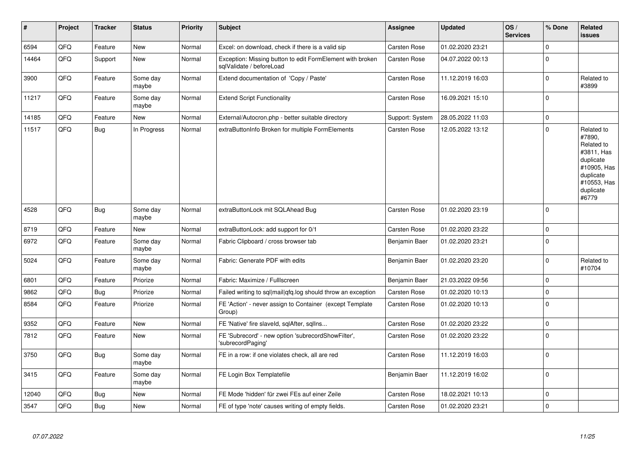| #     | Project | <b>Tracker</b> | <b>Status</b>     | <b>Priority</b> | <b>Subject</b>                                                                        | Assignee        | <b>Updated</b>   | OS/<br><b>Services</b> | % Done       | <b>Related</b><br><b>issues</b>                                                                                                |
|-------|---------|----------------|-------------------|-----------------|---------------------------------------------------------------------------------------|-----------------|------------------|------------------------|--------------|--------------------------------------------------------------------------------------------------------------------------------|
| 6594  | QFQ     | Feature        | <b>New</b>        | Normal          | Excel: on download, check if there is a valid sip                                     | Carsten Rose    | 01.02.2020 23:21 |                        | $\mathbf 0$  |                                                                                                                                |
| 14464 | QFQ     | Support        | New               | Normal          | Exception: Missing button to edit FormElement with broken<br>sglValidate / beforeLoad | Carsten Rose    | 04.07.2022 00:13 |                        | $\Omega$     |                                                                                                                                |
| 3900  | QFQ     | Feature        | Some day<br>maybe | Normal          | Extend documentation of 'Copy / Paste'                                                | Carsten Rose    | 11.12.2019 16:03 |                        | $\mathbf{0}$ | Related to<br>#3899                                                                                                            |
| 11217 | QFQ     | Feature        | Some day<br>maybe | Normal          | <b>Extend Script Functionality</b>                                                    | Carsten Rose    | 16.09.2021 15:10 |                        | $\mathbf 0$  |                                                                                                                                |
| 14185 | QFQ     | Feature        | <b>New</b>        | Normal          | External/Autocron.php - better suitable directory                                     | Support: System | 28.05.2022 11:03 |                        | $\pmb{0}$    |                                                                                                                                |
| 11517 | QFQ     | Bug            | In Progress       | Normal          | extraButtonInfo Broken for multiple FormElements                                      | Carsten Rose    | 12.05.2022 13:12 |                        | $\Omega$     | Related to<br>#7890,<br>Related to<br>#3811, Has<br>duplicate<br>#10905, Has<br>duplicate<br>#10553, Has<br>duplicate<br>#6779 |
| 4528  | QFQ     | Bug            | Some day<br>maybe | Normal          | extraButtonLock mit SQLAhead Bug                                                      | Carsten Rose    | 01.02.2020 23:19 |                        | $\mathbf 0$  |                                                                                                                                |
| 8719  | QFQ     | Feature        | New               | Normal          | extraButtonLock: add support for 0/1                                                  | Carsten Rose    | 01.02.2020 23:22 |                        | $\pmb{0}$    |                                                                                                                                |
| 6972  | QFQ     | Feature        | Some day<br>maybe | Normal          | Fabric Clipboard / cross browser tab                                                  | Benjamin Baer   | 01.02.2020 23:21 |                        | $\mathbf{0}$ |                                                                                                                                |
| 5024  | QFQ     | Feature        | Some day<br>maybe | Normal          | Fabric: Generate PDF with edits                                                       | Benjamin Baer   | 01.02.2020 23:20 |                        | $\mathbf 0$  | Related to<br>#10704                                                                                                           |
| 6801  | QFQ     | Feature        | Priorize          | Normal          | Fabric: Maximize / Fulllscreen                                                        | Benjamin Baer   | 21.03.2022 09:56 |                        | $\pmb{0}$    |                                                                                                                                |
| 9862  | QFQ     | Bug            | Priorize          | Normal          | Failed writing to sql mail qfq.log should throw an exception                          | Carsten Rose    | 01.02.2020 10:13 |                        | $\mathbf 0$  |                                                                                                                                |
| 8584  | QFQ     | Feature        | Priorize          | Normal          | FE 'Action' - never assign to Container (except Template<br>Group)                    | Carsten Rose    | 01.02.2020 10:13 |                        | $\pmb{0}$    |                                                                                                                                |
| 9352  | QFQ     | Feature        | <b>New</b>        | Normal          | FE 'Native' fire slaveld, sglAfter, sglIns                                            | Carsten Rose    | 01.02.2020 23:22 |                        | $\mathbf{0}$ |                                                                                                                                |
| 7812  | QFQ     | Feature        | New               | Normal          | FE 'Subrecord' - new option 'subrecordShowFilter',<br>'subrecordPaging'               | Carsten Rose    | 01.02.2020 23:22 |                        | $\mathbf{0}$ |                                                                                                                                |
| 3750  | QFQ     | <b>Bug</b>     | Some day<br>maybe | Normal          | FE in a row: if one violates check, all are red                                       | Carsten Rose    | 11.12.2019 16:03 |                        | $\mathbf{0}$ |                                                                                                                                |
| 3415  | QFQ     | Feature        | Some day<br>maybe | Normal          | FE Login Box Templatefile                                                             | Benjamin Baer   | 11.12.2019 16:02 |                        | $\mathbf{0}$ |                                                                                                                                |
| 12040 | QFQ     | Bug            | New               | Normal          | FE Mode 'hidden' für zwei FEs auf einer Zeile                                         | Carsten Rose    | 18.02.2021 10:13 |                        | $\mathbf 0$  |                                                                                                                                |
| 3547  | QFQ     | Bug            | New               | Normal          | FE of type 'note' causes writing of empty fields.                                     | Carsten Rose    | 01.02.2020 23:21 |                        | $\mathbf{0}$ |                                                                                                                                |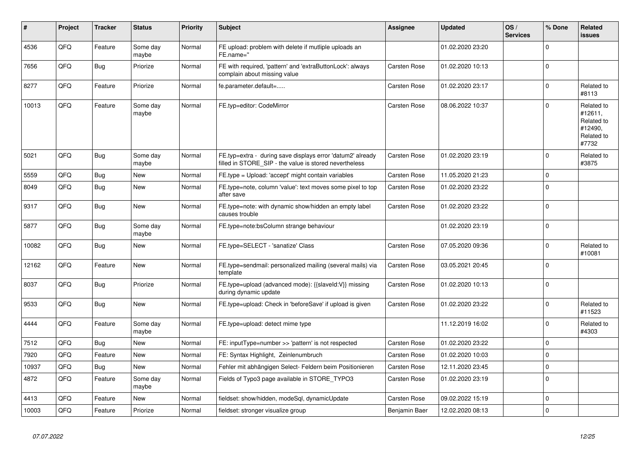| #     | Project | <b>Tracker</b> | <b>Status</b>     | <b>Priority</b> | <b>Subject</b>                                                                                                       | Assignee      | <b>Updated</b>   | OS/<br><b>Services</b> | % Done         | <b>Related</b><br><b>issues</b>                                       |
|-------|---------|----------------|-------------------|-----------------|----------------------------------------------------------------------------------------------------------------------|---------------|------------------|------------------------|----------------|-----------------------------------------------------------------------|
| 4536  | QFQ     | Feature        | Some day<br>maybe | Normal          | FE upload: problem with delete if mutliple uploads an<br>FE.name="                                                   |               | 01.02.2020 23:20 |                        | $\mathbf 0$    |                                                                       |
| 7656  | QFQ     | Bug            | Priorize          | Normal          | FE with required, 'pattern' and 'extraButtonLock': always<br>complain about missing value                            | Carsten Rose  | 01.02.2020 10:13 |                        | $\mathbf 0$    |                                                                       |
| 8277  | QFQ     | Feature        | Priorize          | Normal          | fe.parameter.default=                                                                                                | Carsten Rose  | 01.02.2020 23:17 |                        | $\mathbf 0$    | Related to<br>#8113                                                   |
| 10013 | QFQ     | Feature        | Some day<br>maybe | Normal          | FE.typ=editor: CodeMirror                                                                                            | Carsten Rose  | 08.06.2022 10:37 |                        | $\Omega$       | Related to<br>#12611.<br>Related to<br>#12490,<br>Related to<br>#7732 |
| 5021  | QFQ     | Bug            | Some day<br>maybe | Normal          | FE.typ=extra - during save displays error 'datum2' already<br>filled in STORE_SIP - the value is stored nevertheless | Carsten Rose  | 01.02.2020 23:19 |                        | $\mathbf 0$    | Related to<br>#3875                                                   |
| 5559  | QFQ     | Bug            | New               | Normal          | FE.type = Upload: 'accept' might contain variables                                                                   | Carsten Rose  | 11.05.2020 21:23 |                        | $\mathbf 0$    |                                                                       |
| 8049  | QFQ     | Bug            | <b>New</b>        | Normal          | FE.type=note, column 'value': text moves some pixel to top<br>after save                                             | Carsten Rose  | 01.02.2020 23:22 |                        | $\mathbf{0}$   |                                                                       |
| 9317  | QFQ     | Bug            | <b>New</b>        | Normal          | FE.type=note: with dynamic show/hidden an empty label<br>causes trouble                                              | Carsten Rose  | 01.02.2020 23:22 |                        | $\Omega$       |                                                                       |
| 5877  | QFQ     | <b>Bug</b>     | Some day<br>maybe | Normal          | FE.type=note:bsColumn strange behaviour                                                                              |               | 01.02.2020 23:19 |                        | $\mathbf{0}$   |                                                                       |
| 10082 | QFQ     | Bug            | <b>New</b>        | Normal          | FE.type=SELECT - 'sanatize' Class                                                                                    | Carsten Rose  | 07.05.2020 09:36 |                        | $\mathbf 0$    | Related to<br>#10081                                                  |
| 12162 | QFQ     | Feature        | New               | Normal          | FE.type=sendmail: personalized mailing (several mails) via<br>template                                               | Carsten Rose  | 03.05.2021 20:45 |                        | $\Omega$       |                                                                       |
| 8037  | QFQ     | Bug            | Priorize          | Normal          | FE.type=upload (advanced mode): {{slaveId:V}} missing<br>during dynamic update                                       | Carsten Rose  | 01.02.2020 10:13 |                        | $\mathbf{0}$   |                                                                       |
| 9533  | QFQ     | Bug            | <b>New</b>        | Normal          | FE.type=upload: Check in 'beforeSave' if upload is given                                                             | Carsten Rose  | 01.02.2020 23:22 |                        | $\mathbf{0}$   | Related to<br>#11523                                                  |
| 4444  | QFQ     | Feature        | Some day<br>maybe | Normal          | FE.type=upload: detect mime type                                                                                     |               | 11.12.2019 16:02 |                        | $\mathbf 0$    | Related to<br>#4303                                                   |
| 7512  | QFQ     | <b>Bug</b>     | <b>New</b>        | Normal          | FE: inputType=number >> 'pattern' is not respected                                                                   | Carsten Rose  | 01.02.2020 23:22 |                        | $\Omega$       |                                                                       |
| 7920  | QFQ     | Feature        | <b>New</b>        | Normal          | FE: Syntax Highlight, Zeinlenumbruch                                                                                 | Carsten Rose  | 01.02.2020 10:03 |                        | $\mathbf{0}$   |                                                                       |
| 10937 | QFQ     | Bug            | <b>New</b>        | Normal          | Fehler mit abhängigen Select- Feldern beim Positionieren                                                             | Carsten Rose  | 12.11.2020 23:45 |                        | $\Omega$       |                                                                       |
| 4872  | QFQ     | Feature        | Some day<br>maybe | Normal          | Fields of Typo3 page available in STORE_TYPO3                                                                        | Carsten Rose  | 01.02.2020 23:19 |                        | $\mathbf 0$    |                                                                       |
| 4413  | QFQ     | Feature        | <b>New</b>        | Normal          | fieldset: show/hidden, modeSql, dynamicUpdate                                                                        | Carsten Rose  | 09.02.2022 15:19 |                        | $\mathbf{0}$   |                                                                       |
| 10003 | QFQ     | Feature        | Priorize          | Normal          | fieldset: stronger visualize group                                                                                   | Benjamin Baer | 12.02.2020 08:13 |                        | $\overline{0}$ |                                                                       |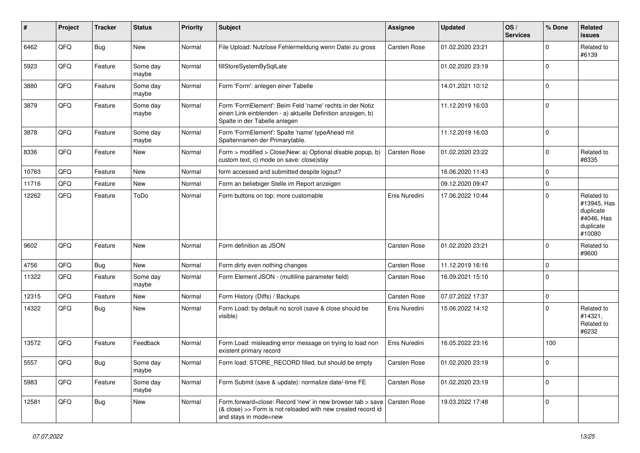| ∦     | Project | <b>Tracker</b> | <b>Status</b>     | <b>Priority</b> | <b>Subject</b>                                                                                                                                           | <b>Assignee</b>     | <b>Updated</b>   | OS/<br><b>Services</b> | % Done         | Related<br><b>issues</b>                                                    |
|-------|---------|----------------|-------------------|-----------------|----------------------------------------------------------------------------------------------------------------------------------------------------------|---------------------|------------------|------------------------|----------------|-----------------------------------------------------------------------------|
| 6462  | QFQ     | <b>Bug</b>     | New               | Normal          | File Upload: Nutzlose Fehlermeldung wenn Datei zu gross                                                                                                  | <b>Carsten Rose</b> | 01.02.2020 23:21 |                        | $\Omega$       | Related to<br>#6139                                                         |
| 5923  | QFQ     | Feature        | Some day<br>maybe | Normal          | fillStoreSystemBySqlLate                                                                                                                                 |                     | 01.02.2020 23:19 |                        | $\Omega$       |                                                                             |
| 3880  | QFQ     | Feature        | Some day<br>maybe | Normal          | Form 'Form': anlegen einer Tabelle                                                                                                                       |                     | 14.01.2021 10:12 |                        | $\Omega$       |                                                                             |
| 3879  | QFQ     | Feature        | Some day<br>maybe | Normal          | Form 'FormElement': Beim Feld 'name' rechts in der Notiz<br>einen Link einblenden - a) aktuelle Definition anzeigen, b)<br>Spalte in der Tabelle anlegen |                     | 11.12.2019 16:03 |                        | l O            |                                                                             |
| 3878  | QFQ     | Feature        | Some day<br>maybe | Normal          | Form 'FormElement': Spalte 'name' typeAhead mit<br>Spaltennamen der Primarytable.                                                                        |                     | 11.12.2019 16:03 |                        | $\Omega$       |                                                                             |
| 8336  | QFQ     | Feature        | <b>New</b>        | Normal          | Form > modified > Close New: a) Optional disable popup, b)<br>custom text, c) mode on save: close stay                                                   | <b>Carsten Rose</b> | 01.02.2020 23:22 |                        | $\Omega$       | Related to<br>#8335                                                         |
| 10763 | QFQ     | Feature        | <b>New</b>        | Normal          | form accessed and submitted despite logout?                                                                                                              |                     | 16.06.2020 11:43 |                        | $\Omega$       |                                                                             |
| 11716 | QFQ     | Feature        | New               | Normal          | Form an beliebiger Stelle im Report anzeigen                                                                                                             |                     | 09.12.2020 09:47 |                        | $\Omega$       |                                                                             |
| 12262 | QFQ     | Feature        | ToDo              | Normal          | Form buttons on top: more customable                                                                                                                     | Enis Nuredini       | 17.06.2022 10:44 |                        | $\Omega$       | Related to<br>#13945, Has<br>duplicate<br>#4046, Has<br>duplicate<br>#10080 |
| 9602  | QFQ     | Feature        | <b>New</b>        | Normal          | Form definition as JSON                                                                                                                                  | Carsten Rose        | 01.02.2020 23:21 |                        | $\Omega$       | Related to<br>#9600                                                         |
| 4756  | QFQ     | <b>Bug</b>     | New               | Normal          | Form dirty even nothing changes                                                                                                                          | Carsten Rose        | 11.12.2019 16:16 |                        | $\Omega$       |                                                                             |
| 11322 | QFQ     | Feature        | Some day<br>maybe | Normal          | Form Element JSON - (multiline parameter field)                                                                                                          | Carsten Rose        | 16.09.2021 15:10 |                        | $\Omega$       |                                                                             |
| 12315 | QFQ     | Feature        | <b>New</b>        | Normal          | Form History (Diffs) / Backups                                                                                                                           | Carsten Rose        | 07.07.2022 17:37 |                        | $\mathbf 0$    |                                                                             |
| 14322 | QFQ     | <b>Bug</b>     | New               | Normal          | Form Load: by default no scroll (save & close should be<br>visible)                                                                                      | Enis Nuredini       | 15.06.2022 14:12 |                        | $\Omega$       | Related to<br>#14321,<br>Related to<br>#6232                                |
| 13572 | QFQ     | Feature        | Feedback          | Normal          | Form Load: misleading error message on trying to load non<br>existent primary record                                                                     | Enis Nuredini       | 16.05.2022 23:16 |                        | 100            |                                                                             |
| 5557  | QFQ     | Bug            | Some day<br>maybe | Normal          | Form load: STORE_RECORD filled, but should be empty                                                                                                      | Carsten Rose        | 01.02.2020 23:19 |                        | $\overline{0}$ |                                                                             |
| 5983  | QFQ     | Feature        | Some day<br>maybe | Normal          | Form Submit (save & update): normalize date/-time FE                                                                                                     | Carsten Rose        | 01.02.2020 23:19 |                        | $\mathbf 0$    |                                                                             |
| 12581 | QFQ     | Bug            | New               | Normal          | Form.forward=close: Record 'new' in new browser tab > save<br>(& close) >> Form is not reloaded with new created record id<br>and stays in mode=new      | Carsten Rose        | 19.03.2022 17:48 |                        | $\overline{0}$ |                                                                             |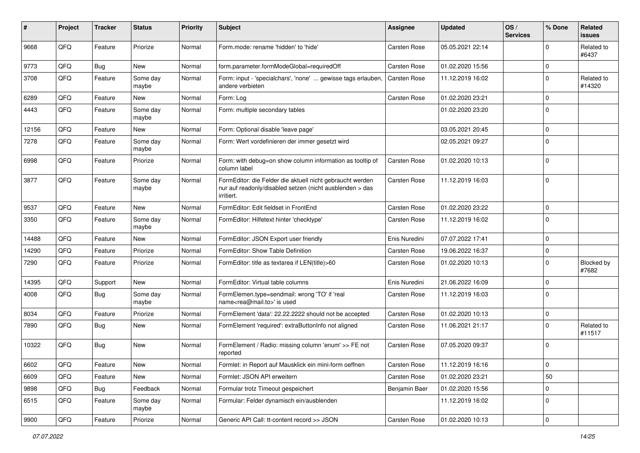| #     | Project | <b>Tracker</b> | <b>Status</b>     | <b>Priority</b> | <b>Subject</b>                                                                                                                      | Assignee            | <b>Updated</b>   | OS/<br><b>Services</b> | % Done         | Related<br>issues    |
|-------|---------|----------------|-------------------|-----------------|-------------------------------------------------------------------------------------------------------------------------------------|---------------------|------------------|------------------------|----------------|----------------------|
| 9668  | QFQ     | Feature        | Priorize          | Normal          | Form.mode: rename 'hidden' to 'hide'                                                                                                | <b>Carsten Rose</b> | 05.05.2021 22:14 |                        | $\Omega$       | Related to<br>#6437  |
| 9773  | QFQ     | <b>Bug</b>     | New               | Normal          | form.parameter.formModeGlobal=requiredOff                                                                                           | Carsten Rose        | 01.02.2020 15:56 |                        | $\mathbf 0$    |                      |
| 3708  | QFQ     | Feature        | Some day<br>maybe | Normal          | Form: input - 'specialchars', 'none'  gewisse tags erlauben,<br>andere verbieten                                                    | <b>Carsten Rose</b> | 11.12.2019 16:02 |                        | $\Omega$       | Related to<br>#14320 |
| 6289  | QFQ     | Feature        | <b>New</b>        | Normal          | Form: Log                                                                                                                           | <b>Carsten Rose</b> | 01.02.2020 23:21 |                        | $\Omega$       |                      |
| 4443  | QFQ     | Feature        | Some day<br>maybe | Normal          | Form: multiple secondary tables                                                                                                     |                     | 01.02.2020 23:20 |                        | 0              |                      |
| 12156 | QFQ     | Feature        | <b>New</b>        | Normal          | Form: Optional disable 'leave page'                                                                                                 |                     | 03.05.2021 20:45 |                        | $\mathbf 0$    |                      |
| 7278  | QFQ     | Feature        | Some day<br>maybe | Normal          | Form: Wert vordefinieren der immer gesetzt wird                                                                                     |                     | 02.05.2021 09:27 |                        | $\Omega$       |                      |
| 6998  | QFQ     | Feature        | Priorize          | Normal          | Form: with debug=on show column information as tooltip of<br>column label                                                           | Carsten Rose        | 01.02.2020 10:13 |                        | $\Omega$       |                      |
| 3877  | QFQ     | Feature        | Some day<br>maybe | Normal          | FormEditor: die Felder die aktuell nicht gebraucht werden<br>nur auf readonly/disabled setzen (nicht ausblenden > das<br>irritiert. | Carsten Rose        | 11.12.2019 16:03 |                        | $\overline{0}$ |                      |
| 9537  | QFQ     | Feature        | <b>New</b>        | Normal          | FormEditor: Edit fieldset in FrontEnd                                                                                               | Carsten Rose        | 01.02.2020 23:22 |                        | $\overline{0}$ |                      |
| 3350  | QFQ     | Feature        | Some day<br>maybe | Normal          | FormEditor: Hilfetext hinter 'checktype'                                                                                            | Carsten Rose        | 11.12.2019 16:02 |                        | 0              |                      |
| 14488 | QFQ     | Feature        | <b>New</b>        | Normal          | FormEditor: JSON Export user friendly                                                                                               | Enis Nuredini       | 07.07.2022 17:41 |                        | $\mathbf 0$    |                      |
| 14290 | QFQ     | Feature        | Priorize          | Normal          | FormEditor: Show Table Definition                                                                                                   | Carsten Rose        | 19.06.2022 16:37 |                        | $\Omega$       |                      |
| 7290  | QFQ     | Feature        | Priorize          | Normal          | FormEditor: title as textarea if LEN(title)>60                                                                                      | Carsten Rose        | 01.02.2020 10:13 |                        | $\Omega$       | Blocked by<br>#7682  |
| 14395 | QFQ     | Support        | <b>New</b>        | Normal          | FormEditor: Virtual table columns                                                                                                   | Enis Nuredini       | 21.06.2022 16:09 |                        | $\Omega$       |                      |
| 4008  | QFQ     | Bug            | Some day<br>maybe | Normal          | FormElemen.type=sendmail: wrong 'TO' if 'real<br>name <rea@mail.to>' is used</rea@mail.to>                                          | <b>Carsten Rose</b> | 11.12.2019 16:03 |                        | 0              |                      |
| 8034  | QFQ     | Feature        | Priorize          | Normal          | FormElement 'data': 22.22.2222 should not be accepted                                                                               | Carsten Rose        | 01.02.2020 10:13 |                        | $\mathbf 0$    |                      |
| 7890  | QFQ     | Bug            | <b>New</b>        | Normal          | FormElement 'required': extraButtonInfo not aligned                                                                                 | <b>Carsten Rose</b> | 11.06.2021 21:17 |                        | $\Omega$       | Related to<br>#11517 |
| 10322 | QFQ     | Bug            | New               | Normal          | FormElement / Radio: missing column 'enum' >> FE not<br>reported                                                                    | Carsten Rose        | 07.05.2020 09:37 |                        | $\Omega$       |                      |
| 6602  | QFQ     | Feature        | New               | Normal          | Formlet: in Report auf Mausklick ein mini-form oeffnen                                                                              | Carsten Rose        | 11.12.2019 16:16 |                        | 0              |                      |
| 6609  | QFQ     | Feature        | New               | Normal          | Formlet: JSON API erweitern                                                                                                         | Carsten Rose        | 01.02.2020 23:21 |                        | 50             |                      |
| 9898  | QFQ     | <b>Bug</b>     | Feedback          | Normal          | Formular trotz Timeout gespeichert                                                                                                  | Benjamin Baer       | 01.02.2020 15:56 |                        | $\mathbf 0$    |                      |
| 6515  | QFQ     | Feature        | Some day<br>maybe | Normal          | Formular: Felder dynamisch ein/ausblenden                                                                                           |                     | 11.12.2019 16:02 |                        | 0              |                      |
| 9900  | QFQ     | Feature        | Priorize          | Normal          | Generic API Call: tt-content record >> JSON                                                                                         | Carsten Rose        | 01.02.2020 10:13 |                        | $\overline{0}$ |                      |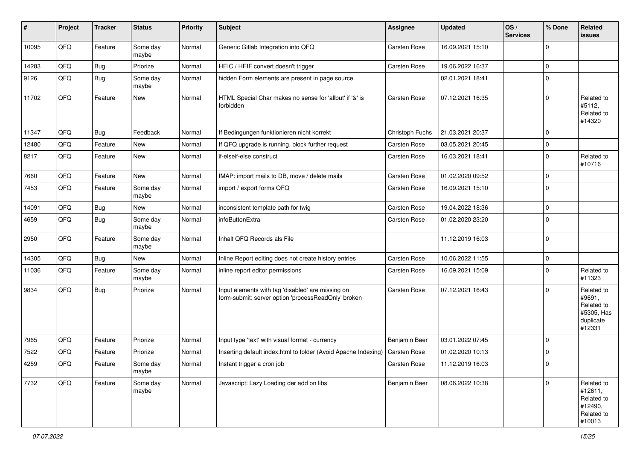| #     | Project | <b>Tracker</b> | <b>Status</b>     | <b>Priority</b> | <b>Subject</b>                                                                                           | <b>Assignee</b> | <b>Updated</b>   | OS/<br><b>Services</b> | % Done         | Related<br>issues                                                       |
|-------|---------|----------------|-------------------|-----------------|----------------------------------------------------------------------------------------------------------|-----------------|------------------|------------------------|----------------|-------------------------------------------------------------------------|
| 10095 | QFQ     | Feature        | Some day<br>maybe | Normal          | Generic Gitlab Integration into QFQ                                                                      | Carsten Rose    | 16.09.2021 15:10 |                        | $\Omega$       |                                                                         |
| 14283 | QFQ     | <b>Bug</b>     | Priorize          | Normal          | HEIC / HEIF convert doesn't trigger                                                                      | Carsten Rose    | 19.06.2022 16:37 |                        | $\mathbf{0}$   |                                                                         |
| 9126  | QFQ     | Bug            | Some day<br>maybe | Normal          | hidden Form elements are present in page source                                                          |                 | 02.01.2021 18:41 |                        | $\Omega$       |                                                                         |
| 11702 | QFQ     | Feature        | New               | Normal          | HTML Special Char makes no sense for 'allbut' if '&' is<br>forbidden                                     | Carsten Rose    | 07.12.2021 16:35 |                        | $\overline{0}$ | Related to<br>#5112,<br>Related to<br>#14320                            |
| 11347 | QFQ     | Bug            | Feedback          | Normal          | If Bedingungen funktionieren nicht korrekt                                                               | Christoph Fuchs | 21.03.2021 20:37 |                        | $\mathbf{0}$   |                                                                         |
| 12480 | QFQ     | Feature        | New               | Normal          | If QFQ upgrade is running, block further request                                                         | Carsten Rose    | 03.05.2021 20:45 |                        | $\mathbf 0$    |                                                                         |
| 8217  | QFQ     | Feature        | <b>New</b>        | Normal          | if-elseif-else construct                                                                                 | Carsten Rose    | 16.03.2021 18:41 |                        | $\mathbf 0$    | Related to<br>#10716                                                    |
| 7660  | QFQ     | Feature        | <b>New</b>        | Normal          | IMAP: import mails to DB, move / delete mails                                                            | Carsten Rose    | 01.02.2020 09:52 |                        | $\mathbf{0}$   |                                                                         |
| 7453  | QFQ     | Feature        | Some day<br>maybe | Normal          | import / export forms QFQ                                                                                | Carsten Rose    | 16.09.2021 15:10 |                        | $\Omega$       |                                                                         |
| 14091 | QFQ     | Bug            | New               | Normal          | inconsistent template path for twig                                                                      | Carsten Rose    | 19.04.2022 18:36 |                        | $\overline{0}$ |                                                                         |
| 4659  | QFQ     | Bug            | Some day<br>maybe | Normal          | infoButtonExtra                                                                                          | Carsten Rose    | 01.02.2020 23:20 |                        | 0              |                                                                         |
| 2950  | QFQ     | Feature        | Some day<br>maybe | Normal          | Inhalt QFQ Records als File                                                                              |                 | 11.12.2019 16:03 |                        | $\overline{0}$ |                                                                         |
| 14305 | QFQ     | Bug            | <b>New</b>        | Normal          | Inline Report editing does not create history entries                                                    | Carsten Rose    | 10.06.2022 11:55 |                        | $\mathbf 0$    |                                                                         |
| 11036 | QFQ     | Feature        | Some day<br>maybe | Normal          | inline report editor permissions                                                                         | Carsten Rose    | 16.09.2021 15:09 |                        | $\Omega$       | Related to<br>#11323                                                    |
| 9834  | QFQ     | Bug            | Priorize          | Normal          | Input elements with tag 'disabled' are missing on<br>form-submit: server option 'processReadOnly' broken | Carsten Rose    | 07.12.2021 16:43 |                        | $\overline{0}$ | Related to<br>#9691,<br>Related to<br>#5305, Has<br>duplicate<br>#12331 |
| 7965  | QFQ     | Feature        | Priorize          | Normal          | Input type 'text' with visual format - currency                                                          | Benjamin Baer   | 03.01.2022 07:45 |                        | 0              |                                                                         |
| 7522  | QFQ     | Feature        | Priorize          | Normal          | Inserting default index.html to folder (Avoid Apache Indexing)                                           | Carsten Rose    | 01.02.2020 10:13 |                        | $\Omega$       |                                                                         |
| 4259  | QFQ     | Feature        | Some day<br>maybe | Normal          | Instant trigger a cron job                                                                               | Carsten Rose    | 11.12.2019 16:03 |                        | O              |                                                                         |
| 7732  | QFO     | Feature        | Some day<br>maybe | Normal          | Javascript: Lazy Loading der add on libs                                                                 | Benjamin Baer   | 08.06.2022 10:38 |                        | $\overline{0}$ | Related to<br>#12611,<br>Related to<br>#12490,<br>Related to<br>#10013  |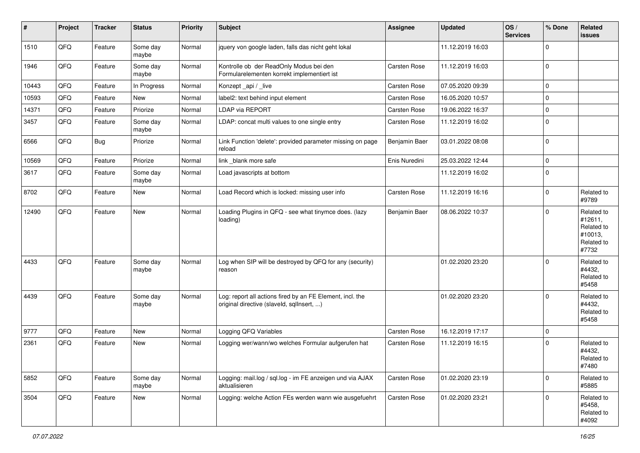| $\vert$ # | Project | <b>Tracker</b> | <b>Status</b>     | <b>Priority</b> | <b>Subject</b>                                                                                         | <b>Assignee</b>     | <b>Updated</b>   | OS/<br><b>Services</b> | % Done         | Related<br><b>issues</b>                                              |
|-----------|---------|----------------|-------------------|-----------------|--------------------------------------------------------------------------------------------------------|---------------------|------------------|------------------------|----------------|-----------------------------------------------------------------------|
| 1510      | QFQ     | Feature        | Some day<br>maybe | Normal          | jquery von google laden, falls das nicht geht lokal                                                    |                     | 11.12.2019 16:03 |                        | $\Omega$       |                                                                       |
| 1946      | QFQ     | Feature        | Some day<br>maybe | Normal          | Kontrolle ob der ReadOnly Modus bei den<br>Formularelementen korrekt implementiert ist                 | Carsten Rose        | 11.12.2019 16:03 |                        | $\overline{0}$ |                                                                       |
| 10443     | QFQ     | Feature        | In Progress       | Normal          | Konzept _api / _live                                                                                   | Carsten Rose        | 07.05.2020 09:39 |                        | $\mathbf{0}$   |                                                                       |
| 10593     | QFQ     | Feature        | New               | Normal          | label2: text behind input element                                                                      | Carsten Rose        | 16.05.2020 10:57 |                        | $\mathbf 0$    |                                                                       |
| 14371     | QFQ     | Feature        | Priorize          | Normal          | <b>LDAP via REPORT</b>                                                                                 | Carsten Rose        | 19.06.2022 16:37 |                        | $\mathbf 0$    |                                                                       |
| 3457      | QFQ     | Feature        | Some day<br>maybe | Normal          | LDAP: concat multi values to one single entry                                                          | Carsten Rose        | 11.12.2019 16:02 |                        | $\Omega$       |                                                                       |
| 6566      | QFQ     | Bug            | Priorize          | Normal          | Link Function 'delete': provided parameter missing on page<br>reload                                   | Benjamin Baer       | 03.01.2022 08:08 |                        | $\overline{0}$ |                                                                       |
| 10569     | QFQ     | Feature        | Priorize          | Normal          | link _blank more safe                                                                                  | Enis Nuredini       | 25.03.2022 12:44 |                        | $\mathbf{0}$   |                                                                       |
| 3617      | QFQ     | Feature        | Some day<br>maybe | Normal          | Load javascripts at bottom                                                                             |                     | 11.12.2019 16:02 |                        | $\overline{0}$ |                                                                       |
| 8702      | QFQ     | Feature        | New               | Normal          | Load Record which is locked: missing user info                                                         | <b>Carsten Rose</b> | 11.12.2019 16:16 |                        | $\Omega$       | Related to<br>#9789                                                   |
| 12490     | QFQ     | Feature        | <b>New</b>        | Normal          | Loading Plugins in QFQ - see what tinymce does. (lazy<br>loading)                                      | Benjamin Baer       | 08.06.2022 10:37 |                        | 0              | Related to<br>#12611,<br>Related to<br>#10013,<br>Related to<br>#7732 |
| 4433      | QFQ     | Feature        | Some day<br>maybe | Normal          | Log when SIP will be destroyed by QFQ for any (security)<br>reason                                     |                     | 01.02.2020 23:20 |                        | $\Omega$       | Related to<br>#4432,<br>Related to<br>#5458                           |
| 4439      | QFQ     | Feature        | Some day<br>maybe | Normal          | Log: report all actions fired by an FE Element, incl. the<br>original directive (slaveld, sqllnsert, ) |                     | 01.02.2020 23:20 |                        | $\Omega$       | Related to<br>#4432,<br>Related to<br>#5458                           |
| 9777      | QFQ     | Feature        | <b>New</b>        | Normal          | Logging QFQ Variables                                                                                  | Carsten Rose        | 16.12.2019 17:17 |                        | $\mathbf 0$    |                                                                       |
| 2361      | QFQ     | Feature        | <b>New</b>        | Normal          | Logging wer/wann/wo welches Formular aufgerufen hat                                                    | Carsten Rose        | 11.12.2019 16:15 |                        | $\Omega$       | Related to<br>#4432,<br>Related to<br>#7480                           |
| 5852      | QFO     | Feature        | Some day<br>maybe | Normal          | Logging: mail.log / sql.log - im FE anzeigen und via AJAX<br>aktualisieren                             | Carsten Rose        | 01.02.2020 23:19 |                        | $\Omega$       | Related to<br>#5885                                                   |
| 3504      | QFO     | Feature        | New               | Normal          | Logging: welche Action FEs werden wann wie ausgefuehrt                                                 | Carsten Rose        | 01.02.2020 23:21 |                        | $\Omega$       | Related to<br>#5458,<br>Related to<br>#4092                           |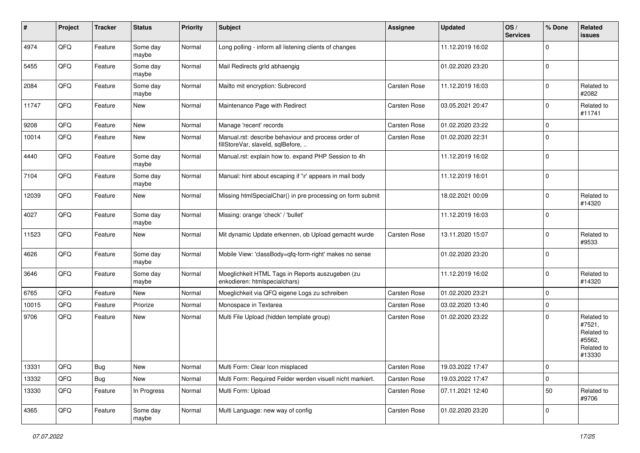| #     | Project | <b>Tracker</b> | <b>Status</b>     | <b>Priority</b> | <b>Subject</b>                                                                           | Assignee            | <b>Updated</b>   | OS/<br><b>Services</b> | % Done      | Related<br>issues                                                    |
|-------|---------|----------------|-------------------|-----------------|------------------------------------------------------------------------------------------|---------------------|------------------|------------------------|-------------|----------------------------------------------------------------------|
| 4974  | QFQ     | Feature        | Some day<br>maybe | Normal          | Long polling - inform all listening clients of changes                                   |                     | 11.12.2019 16:02 |                        | $\Omega$    |                                                                      |
| 5455  | QFQ     | Feature        | Some day<br>maybe | Normal          | Mail Redirects grld abhaengig                                                            |                     | 01.02.2020 23:20 |                        | 0           |                                                                      |
| 2084  | QFQ     | Feature        | Some day<br>maybe | Normal          | Mailto mit encryption: Subrecord                                                         | Carsten Rose        | 11.12.2019 16:03 |                        | $\Omega$    | Related to<br>#2082                                                  |
| 11747 | QFQ     | Feature        | New               | Normal          | Maintenance Page with Redirect                                                           | <b>Carsten Rose</b> | 03.05.2021 20:47 |                        | 0           | Related to<br>#11741                                                 |
| 9208  | QFQ     | Feature        | <b>New</b>        | Normal          | Manage 'recent' records                                                                  | <b>Carsten Rose</b> | 01.02.2020 23:22 |                        | $\mathbf 0$ |                                                                      |
| 10014 | QFQ     | Feature        | New               | Normal          | Manual.rst: describe behaviour and process order of<br>fillStoreVar, slaveId, sqlBefore, | Carsten Rose        | 01.02.2020 22:31 |                        | $\Omega$    |                                                                      |
| 4440  | QFQ     | Feature        | Some day<br>maybe | Normal          | Manual.rst: explain how to. expand PHP Session to 4h                                     |                     | 11.12.2019 16:02 |                        | 0           |                                                                      |
| 7104  | QFQ     | Feature        | Some day<br>maybe | Normal          | Manual: hint about escaping if '\r' appears in mail body                                 |                     | 11.12.2019 16:01 |                        | 0           |                                                                      |
| 12039 | QFQ     | Feature        | New               | Normal          | Missing htmlSpecialChar() in pre processing on form submit                               |                     | 18.02.2021 00:09 |                        | $\Omega$    | Related to<br>#14320                                                 |
| 4027  | QFQ     | Feature        | Some day<br>maybe | Normal          | Missing: orange 'check' / 'bullet'                                                       |                     | 11.12.2019 16:03 |                        | $\mathbf 0$ |                                                                      |
| 11523 | QFQ     | Feature        | <b>New</b>        | Normal          | Mit dynamic Update erkennen, ob Upload gemacht wurde                                     | <b>Carsten Rose</b> | 13.11.2020 15:07 |                        | $\Omega$    | Related to<br>#9533                                                  |
| 4626  | QFQ     | Feature        | Some day<br>maybe | Normal          | Mobile View: 'classBody=qfq-form-right' makes no sense                                   |                     | 01.02.2020 23:20 |                        | $\Omega$    |                                                                      |
| 3646  | QFQ     | Feature        | Some day<br>maybe | Normal          | Moeglichkeit HTML Tags in Reports auszugeben (zu<br>enkodieren: htmlspecialchars)        |                     | 11.12.2019 16:02 |                        | $\Omega$    | Related to<br>#14320                                                 |
| 6765  | QFQ     | Feature        | <b>New</b>        | Normal          | Moeglichkeit via QFQ eigene Logs zu schreiben                                            | Carsten Rose        | 01.02.2020 23:21 |                        | $\Omega$    |                                                                      |
| 10015 | QFQ     | Feature        | Priorize          | Normal          | Monospace in Textarea                                                                    | <b>Carsten Rose</b> | 03.02.2020 13:40 |                        | $\mathbf 0$ |                                                                      |
| 9706  | QFQ     | Feature        | New               | Normal          | Multi File Upload (hidden template group)                                                | <b>Carsten Rose</b> | 01.02.2020 23:22 |                        | $\Omega$    | Related to<br>#7521,<br>Related to<br>#5562,<br>Related to<br>#13330 |
| 13331 | QFQ     | <b>Bug</b>     | New               | Normal          | Multi Form: Clear Icon misplaced                                                         | Carsten Rose        | 19.03.2022 17:47 |                        | 0           |                                                                      |
| 13332 | QFQ     | Bug            | New               | Normal          | Multi Form: Required Felder werden visuell nicht markiert.                               | Carsten Rose        | 19.03.2022 17:47 |                        | $\mathbf 0$ |                                                                      |
| 13330 | QFQ     | Feature        | In Progress       | Normal          | Multi Form: Upload                                                                       | Carsten Rose        | 07.11.2021 12:40 |                        | 50          | Related to<br>#9706                                                  |
| 4365  | QFQ     | Feature        | Some day<br>maybe | Normal          | Multi Language: new way of config                                                        | Carsten Rose        | 01.02.2020 23:20 |                        | 0           |                                                                      |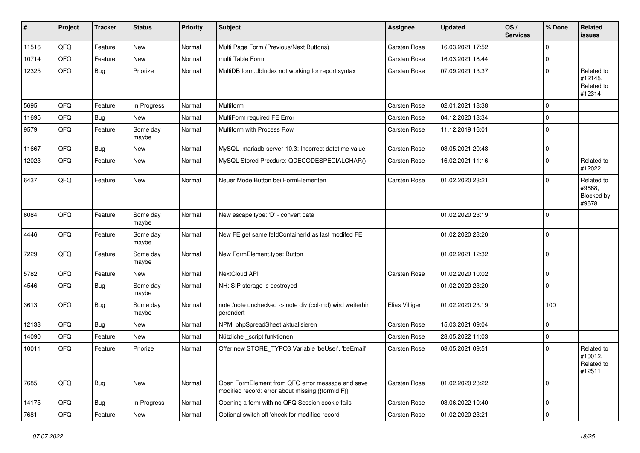| #     | Project | <b>Tracker</b> | <b>Status</b>     | <b>Priority</b> | <b>Subject</b>                                                                                        | Assignee            | <b>Updated</b>   | OS/<br><b>Services</b> | % Done       | Related<br>issues                             |
|-------|---------|----------------|-------------------|-----------------|-------------------------------------------------------------------------------------------------------|---------------------|------------------|------------------------|--------------|-----------------------------------------------|
| 11516 | QFQ     | Feature        | New               | Normal          | Multi Page Form (Previous/Next Buttons)                                                               | Carsten Rose        | 16.03.2021 17:52 |                        | 0            |                                               |
| 10714 | QFQ     | Feature        | New               | Normal          | multi Table Form                                                                                      | Carsten Rose        | 16.03.2021 18:44 |                        | 0            |                                               |
| 12325 | QFQ     | <b>Bug</b>     | Priorize          | Normal          | MultiDB form.dblndex not working for report syntax                                                    | Carsten Rose        | 07.09.2021 13:37 |                        | $\Omega$     | Related to<br>#12145,<br>Related to<br>#12314 |
| 5695  | QFQ     | Feature        | In Progress       | Normal          | Multiform                                                                                             | Carsten Rose        | 02.01.2021 18:38 |                        | $\mathbf 0$  |                                               |
| 11695 | QFQ     | Bug            | New               | Normal          | MultiForm required FE Error                                                                           | Carsten Rose        | 04.12.2020 13:34 |                        | 0            |                                               |
| 9579  | QFQ     | Feature        | Some day<br>maybe | Normal          | Multiform with Process Row                                                                            | <b>Carsten Rose</b> | 11.12.2019 16:01 |                        | 0            |                                               |
| 11667 | QFQ     | Bug            | <b>New</b>        | Normal          | MySQL mariadb-server-10.3: Incorrect datetime value                                                   | Carsten Rose        | 03.05.2021 20:48 |                        | $\mathbf 0$  |                                               |
| 12023 | QFQ     | Feature        | <b>New</b>        | Normal          | MySQL Stored Precdure: QDECODESPECIALCHAR()                                                           | Carsten Rose        | 16.02.2021 11:16 |                        | $\Omega$     | Related to<br>#12022                          |
| 6437  | QFQ     | Feature        | New               | Normal          | Neuer Mode Button bei FormElementen                                                                   | Carsten Rose        | 01.02.2020 23:21 |                        | $\Omega$     | Related to<br>#9668,<br>Blocked by<br>#9678   |
| 6084  | QFQ     | Feature        | Some day<br>maybe | Normal          | New escape type: 'D' - convert date                                                                   |                     | 01.02.2020 23:19 |                        | $\Omega$     |                                               |
| 4446  | QFQ     | Feature        | Some day<br>maybe | Normal          | New FE get same feldContainerId as last modifed FE                                                    |                     | 01.02.2020 23:20 |                        | $\mathbf 0$  |                                               |
| 7229  | QFQ     | Feature        | Some day<br>maybe | Normal          | New FormElement.type: Button                                                                          |                     | 01.02.2021 12:32 |                        | $\Omega$     |                                               |
| 5782  | QFQ     | Feature        | New               | Normal          | NextCloud API                                                                                         | Carsten Rose        | 01.02.2020 10:02 |                        | $\mathbf 0$  |                                               |
| 4546  | QFQ     | Bug            | Some day<br>maybe | Normal          | NH: SIP storage is destroyed                                                                          |                     | 01.02.2020 23:20 |                        | $\mathbf 0$  |                                               |
| 3613  | QFQ     | Bug            | Some day<br>maybe | Normal          | note /note unchecked -> note div (col-md) wird weiterhin<br>gerendert                                 | Elias Villiger      | 01.02.2020 23:19 |                        | 100          |                                               |
| 12133 | QFQ     | <b>Bug</b>     | New               | Normal          | NPM, phpSpreadSheet aktualisieren                                                                     | Carsten Rose        | 15.03.2021 09:04 |                        | $\mathbf 0$  |                                               |
| 14090 | QFQ     | Feature        | New               | Normal          | Nützliche _script funktionen                                                                          | Carsten Rose        | 28.05.2022 11:03 |                        | 0            |                                               |
| 10011 | QFQ     | Feature        | Priorize          | Normal          | Offer new STORE_TYPO3 Variable 'beUser', 'beEmail'                                                    | Carsten Rose        | 08.05.2021 09:51 |                        | $\Omega$     | Related to<br>#10012,<br>Related to<br>#12511 |
| 7685  | QFQ     | <b>Bug</b>     | New               | Normal          | Open FormElement from QFQ error message and save<br>modified record: error about missing {{formId:F}} | Carsten Rose        | 01.02.2020 23:22 |                        | $\mathbf{0}$ |                                               |
| 14175 | QFQ     | <b>Bug</b>     | In Progress       | Normal          | Opening a form with no QFQ Session cookie fails                                                       | Carsten Rose        | 03.06.2022 10:40 |                        | 0            |                                               |
| 7681  | QFG     | Feature        | New               | Normal          | Optional switch off 'check for modified record'                                                       | Carsten Rose        | 01.02.2020 23:21 |                        | $\mathbf 0$  |                                               |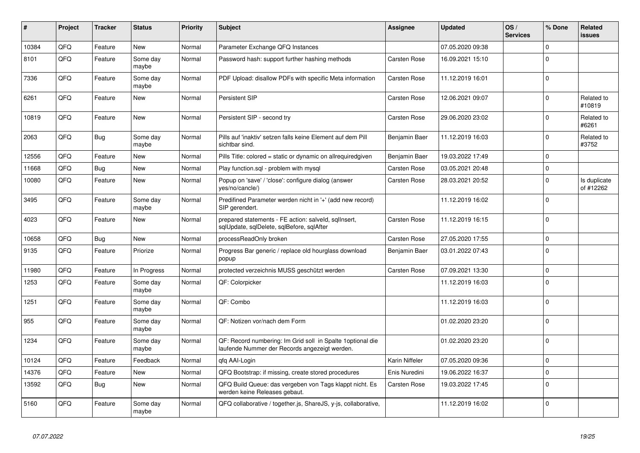| #     | Project | <b>Tracker</b> | <b>Status</b>     | <b>Priority</b> | <b>Subject</b>                                                                                               | Assignee            | <b>Updated</b>   | OS/<br><b>Services</b> | % Done         | Related<br><b>issues</b>  |
|-------|---------|----------------|-------------------|-----------------|--------------------------------------------------------------------------------------------------------------|---------------------|------------------|------------------------|----------------|---------------------------|
| 10384 | QFQ     | Feature        | <b>New</b>        | Normal          | Parameter Exchange QFQ Instances                                                                             |                     | 07.05.2020 09:38 |                        | $\mathbf{0}$   |                           |
| 8101  | QFQ     | Feature        | Some day<br>maybe | Normal          | Password hash: support further hashing methods                                                               | Carsten Rose        | 16.09.2021 15:10 |                        | $\mathbf{0}$   |                           |
| 7336  | QFQ     | Feature        | Some day<br>maybe | Normal          | PDF Upload: disallow PDFs with specific Meta information                                                     | Carsten Rose        | 11.12.2019 16:01 |                        | $\Omega$       |                           |
| 6261  | QFQ     | Feature        | New               | Normal          | Persistent SIP                                                                                               | Carsten Rose        | 12.06.2021 09:07 |                        | $\mathbf 0$    | Related to<br>#10819      |
| 10819 | QFQ     | Feature        | <b>New</b>        | Normal          | Persistent SIP - second try                                                                                  | Carsten Rose        | 29.06.2020 23:02 |                        | $\Omega$       | Related to<br>#6261       |
| 2063  | QFQ     | <b>Bug</b>     | Some day<br>maybe | Normal          | Pills auf 'inaktiv' setzen falls keine Element auf dem Pill<br>sichtbar sind.                                | Benjamin Baer       | 11.12.2019 16:03 |                        | $\Omega$       | Related to<br>#3752       |
| 12556 | QFQ     | Feature        | New               | Normal          | Pills Title: colored = static or dynamic on allrequiredgiven                                                 | Benjamin Baer       | 19.03.2022 17:49 |                        | $\mathbf 0$    |                           |
| 11668 | QFQ     | <b>Bug</b>     | New               | Normal          | Play function.sql - problem with mysql                                                                       | Carsten Rose        | 03.05.2021 20:48 |                        | $\Omega$       |                           |
| 10080 | QFQ     | Feature        | New               | Normal          | Popup on 'save' / 'close': configure dialog (answer<br>yes/no/cancle/)                                       | Carsten Rose        | 28.03.2021 20:52 |                        | $\mathbf{0}$   | Is duplicate<br>of #12262 |
| 3495  | QFQ     | Feature        | Some day<br>maybe | Normal          | Predifined Parameter werden nicht in '+' (add new record)<br>SIP gerendert.                                  |                     | 11.12.2019 16:02 |                        | $\mathbf 0$    |                           |
| 4023  | QFQ     | Feature        | <b>New</b>        | Normal          | prepared statements - FE action: salveld, sqllnsert,<br>sqlUpdate, sqlDelete, sqlBefore, sqlAfter            | Carsten Rose        | 11.12.2019 16:15 |                        | $\overline{0}$ |                           |
| 10658 | QFQ     | Bug            | <b>New</b>        | Normal          | processReadOnly broken                                                                                       | Carsten Rose        | 27.05.2020 17:55 |                        | $\mathbf{0}$   |                           |
| 9135  | QFQ     | Feature        | Priorize          | Normal          | Progress Bar generic / replace old hourglass download<br>popup                                               | Benjamin Baer       | 03.01.2022 07:43 |                        | $\Omega$       |                           |
| 11980 | QFQ     | Feature        | In Progress       | Normal          | protected verzeichnis MUSS geschützt werden                                                                  | Carsten Rose        | 07.09.2021 13:30 |                        | $\mathbf 0$    |                           |
| 1253  | QFQ     | Feature        | Some day<br>maybe | Normal          | QF: Colorpicker                                                                                              |                     | 11.12.2019 16:03 |                        | $\mathbf{0}$   |                           |
| 1251  | QFQ     | Feature        | Some day<br>maybe | Normal          | QF: Combo                                                                                                    |                     | 11.12.2019 16:03 |                        | $\Omega$       |                           |
| 955   | QFQ     | Feature        | Some day<br>maybe | Normal          | QF: Notizen vor/nach dem Form                                                                                |                     | 01.02.2020 23:20 |                        | $\Omega$       |                           |
| 1234  | QFQ     | Feature        | Some day<br>maybe | Normal          | QF: Record numbering: Im Grid soll in Spalte 1 optional die<br>laufende Nummer der Records angezeigt werden. |                     | 01.02.2020 23:20 |                        | $\mathbf 0$    |                           |
| 10124 | QFQ     | Feature        | Feedback          | Normal          | gfg AAI-Login                                                                                                | Karin Niffeler      | 07.05.2020 09:36 |                        | $\Omega$       |                           |
| 14376 | QFQ     | Feature        | New               | Normal          | QFQ Bootstrap: if missing, create stored procedures                                                          | Enis Nuredini       | 19.06.2022 16:37 |                        | $\mathbf 0$    |                           |
| 13592 | QFQ     | <b>Bug</b>     | New               | Normal          | QFQ Build Queue: das vergeben von Tags klappt nicht. Es<br>werden keine Releases gebaut.                     | <b>Carsten Rose</b> | 19.03.2022 17:45 |                        | $\Omega$       |                           |
| 5160  | QFQ     | Feature        | Some day<br>maybe | Normal          | QFQ collaborative / together.js, ShareJS, y-js, collaborative,                                               |                     | 11.12.2019 16:02 |                        | $\Omega$       |                           |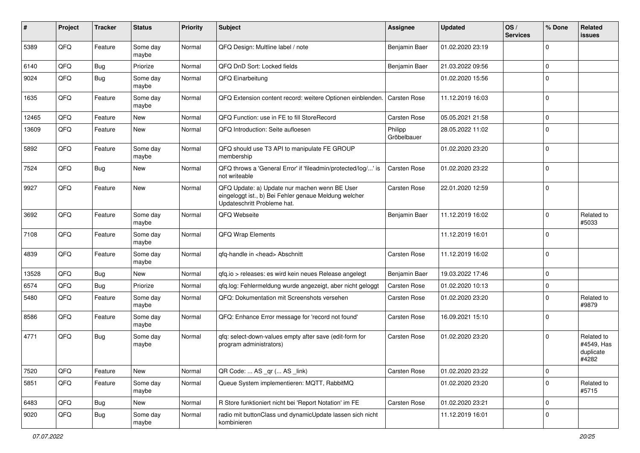| #     | Project | <b>Tracker</b> | <b>Status</b>     | <b>Priority</b> | <b>Subject</b>                                                                                                                        | Assignee               | <b>Updated</b>   | OS/<br><b>Services</b> | % Done         | Related<br>issues                              |
|-------|---------|----------------|-------------------|-----------------|---------------------------------------------------------------------------------------------------------------------------------------|------------------------|------------------|------------------------|----------------|------------------------------------------------|
| 5389  | QFQ     | Feature        | Some day<br>maybe | Normal          | QFQ Design: Multline label / note                                                                                                     | Benjamin Baer          | 01.02.2020 23:19 |                        | $\Omega$       |                                                |
| 6140  | QFQ     | <b>Bug</b>     | Priorize          | Normal          | QFQ DnD Sort: Locked fields                                                                                                           | Benjamin Baer          | 21.03.2022 09:56 |                        | 0              |                                                |
| 9024  | QFQ     | Bug            | Some day<br>maybe | Normal          | QFQ Einarbeitung                                                                                                                      |                        | 01.02.2020 15:56 |                        | $\Omega$       |                                                |
| 1635  | QFQ     | Feature        | Some day<br>maybe | Normal          | QFQ Extension content record: weitere Optionen einblenden.                                                                            | <b>Carsten Rose</b>    | 11.12.2019 16:03 |                        | $\overline{0}$ |                                                |
| 12465 | QFQ     | Feature        | New               | Normal          | QFQ Function: use in FE to fill StoreRecord                                                                                           | Carsten Rose           | 05.05.2021 21:58 |                        | $\Omega$       |                                                |
| 13609 | QFQ     | Feature        | New               | Normal          | QFQ Introduction: Seite aufloesen                                                                                                     | Philipp<br>Gröbelbauer | 28.05.2022 11:02 |                        | $\mathbf 0$    |                                                |
| 5892  | QFQ     | Feature        | Some day<br>maybe | Normal          | QFQ should use T3 API to manipulate FE GROUP<br>membership                                                                            |                        | 01.02.2020 23:20 |                        | $\mathbf 0$    |                                                |
| 7524  | QFQ     | <b>Bug</b>     | New               | Normal          | QFQ throws a 'General Error' if 'fileadmin/protected/log/' is<br>not writeable                                                        | Carsten Rose           | 01.02.2020 23:22 |                        | $\Omega$       |                                                |
| 9927  | QFQ     | Feature        | <b>New</b>        | Normal          | QFQ Update: a) Update nur machen wenn BE User<br>eingeloggt ist., b) Bei Fehler genaue Meldung welcher<br>Updateschritt Probleme hat. | Carsten Rose           | 22.01.2020 12:59 |                        | $\Omega$       |                                                |
| 3692  | QFQ     | Feature        | Some day<br>maybe | Normal          | QFQ Webseite                                                                                                                          | Benjamin Baer          | 11.12.2019 16:02 |                        | $\Omega$       | Related to<br>#5033                            |
| 7108  | QFQ     | Feature        | Some day<br>maybe | Normal          | QFQ Wrap Elements                                                                                                                     |                        | 11.12.2019 16:01 |                        | $\Omega$       |                                                |
| 4839  | QFQ     | Feature        | Some day<br>maybe | Normal          | qfq-handle in <head> Abschnitt</head>                                                                                                 | Carsten Rose           | 11.12.2019 16:02 |                        | $\Omega$       |                                                |
| 13528 | QFQ     | Bug            | New               | Normal          | qfq.io > releases: es wird kein neues Release angelegt                                                                                | Benjamin Baer          | 19.03.2022 17:46 |                        | $\Omega$       |                                                |
| 6574  | QFQ     | Bug            | Priorize          | Normal          | qfq.log: Fehlermeldung wurde angezeigt, aber nicht geloggt                                                                            | <b>Carsten Rose</b>    | 01.02.2020 10:13 |                        | $\Omega$       |                                                |
| 5480  | QFQ     | Feature        | Some day<br>maybe | Normal          | QFQ: Dokumentation mit Screenshots versehen                                                                                           | <b>Carsten Rose</b>    | 01.02.2020 23:20 |                        | $\Omega$       | Related to<br>#9879                            |
| 8586  | QFQ     | Feature        | Some day<br>maybe | Normal          | QFQ: Enhance Error message for 'record not found'                                                                                     | Carsten Rose           | 16.09.2021 15:10 |                        | $\Omega$       |                                                |
| 4771  | QFQ     | Bug            | Some day<br>maybe | Normal          | qfq: select-down-values empty after save (edit-form for<br>program administrators)                                                    | Carsten Rose           | 01.02.2020 23:20 |                        | $\Omega$       | Related to<br>#4549, Has<br>duplicate<br>#4282 |
| 7520  | QFQ     | Feature        | New               | Normal          | QR Code:  AS _qr ( AS _link)                                                                                                          | Carsten Rose           | 01.02.2020 23:22 |                        | $\overline{0}$ |                                                |
| 5851  | QFQ     | Feature        | Some day<br>maybe | Normal          | Queue System implementieren: MQTT, RabbitMQ                                                                                           |                        | 01.02.2020 23:20 |                        | $\Omega$       | Related to<br>#5715                            |
| 6483  | QFQ     | Bug            | New               | Normal          | R Store funktioniert nicht bei 'Report Notation' im FE                                                                                | Carsten Rose           | 01.02.2020 23:21 |                        | $\mathbf 0$    |                                                |
| 9020  | QFQ     | <b>Bug</b>     | Some day<br>maybe | Normal          | radio mit buttonClass und dynamicUpdate lassen sich nicht<br>kombinieren                                                              |                        | 11.12.2019 16:01 |                        | $\mathbf 0$    |                                                |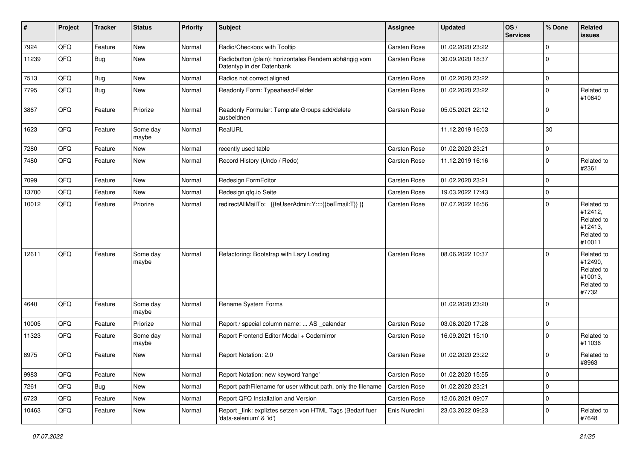| #     | Project | <b>Tracker</b> | <b>Status</b>     | <b>Priority</b> | Subject                                                                              | Assignee      | <b>Updated</b>   | OS/<br><b>Services</b> | % Done         | Related<br><b>issues</b>                                               |
|-------|---------|----------------|-------------------|-----------------|--------------------------------------------------------------------------------------|---------------|------------------|------------------------|----------------|------------------------------------------------------------------------|
| 7924  | QFQ     | Feature        | New               | Normal          | Radio/Checkbox with Tooltip                                                          | Carsten Rose  | 01.02.2020 23:22 |                        | $\mathbf 0$    |                                                                        |
| 11239 | QFQ     | Bug            | New               | Normal          | Radiobutton (plain): horizontales Rendern abhängig vom<br>Datentyp in der Datenbank  | Carsten Rose  | 30.09.2020 18:37 |                        | $\mathbf 0$    |                                                                        |
| 7513  | QFQ     | Bug            | New               | Normal          | Radios not correct aligned                                                           | Carsten Rose  | 01.02.2020 23:22 |                        | $\mathbf 0$    |                                                                        |
| 7795  | QFQ     | Bug            | <b>New</b>        | Normal          | Readonly Form: Typeahead-Felder                                                      | Carsten Rose  | 01.02.2020 23:22 |                        | $\mathbf 0$    | Related to<br>#10640                                                   |
| 3867  | QFQ     | Feature        | Priorize          | Normal          | Readonly Formular: Template Groups add/delete<br>ausbeldnen                          | Carsten Rose  | 05.05.2021 22:12 |                        | $\mathbf 0$    |                                                                        |
| 1623  | QFQ     | Feature        | Some day<br>maybe | Normal          | RealURL                                                                              |               | 11.12.2019 16:03 |                        | 30             |                                                                        |
| 7280  | QFQ     | Feature        | <b>New</b>        | Normal          | recently used table                                                                  | Carsten Rose  | 01.02.2020 23:21 |                        | $\mathbf 0$    |                                                                        |
| 7480  | QFQ     | Feature        | <b>New</b>        | Normal          | Record History (Undo / Redo)                                                         | Carsten Rose  | 11.12.2019 16:16 |                        | $\mathbf 0$    | Related to<br>#2361                                                    |
| 7099  | QFQ     | Feature        | New               | Normal          | Redesign FormEditor                                                                  | Carsten Rose  | 01.02.2020 23:21 |                        | $\mathbf 0$    |                                                                        |
| 13700 | QFQ     | Feature        | <b>New</b>        | Normal          | Redesign qfq.io Seite                                                                | Carsten Rose  | 19.03.2022 17:43 |                        | $\mathbf 0$    |                                                                        |
| 10012 | QFQ     | Feature        | Priorize          | Normal          | redirectAllMailTo: {{feUserAdmin:Y::::{{beEmail:T}} }}                               | Carsten Rose  | 07.07.2022 16:56 |                        | $\mathbf 0$    | Related to<br>#12412,<br>Related to<br>#12413,<br>Related to<br>#10011 |
| 12611 | QFQ     | Feature        | Some day<br>maybe | Normal          | Refactoring: Bootstrap with Lazy Loading                                             | Carsten Rose  | 08.06.2022 10:37 |                        | $\Omega$       | Related to<br>#12490,<br>Related to<br>#10013,<br>Related to<br>#7732  |
| 4640  | QFQ     | Feature        | Some day<br>maybe | Normal          | Rename System Forms                                                                  |               | 01.02.2020 23:20 |                        | $\overline{0}$ |                                                                        |
| 10005 | QFQ     | Feature        | Priorize          | Normal          | Report / special column name:  AS _calendar                                          | Carsten Rose  | 03.06.2020 17:28 |                        | $\mathbf 0$    |                                                                        |
| 11323 | QFQ     | Feature        | Some day<br>maybe | Normal          | Report Frontend Editor Modal + Codemirror                                            | Carsten Rose  | 16.09.2021 15:10 |                        | $\mathbf 0$    | Related to<br>#11036                                                   |
| 8975  | QFQ     | Feature        | New               | Normal          | Report Notation: 2.0                                                                 | Carsten Rose  | 01.02.2020 23:22 |                        | $\Omega$       | Related to<br>#8963                                                    |
| 9983  | QFQ     | Feature        | New               | Normal          | Report Notation: new keyword 'range'                                                 | Carsten Rose  | 01.02.2020 15:55 |                        | $\mathbf 0$    |                                                                        |
| 7261  | QFQ     | <b>Bug</b>     | New               | Normal          | Report pathFilename for user without path, only the filename                         | Carsten Rose  | 01.02.2020 23:21 |                        | $\mathbf 0$    |                                                                        |
| 6723  | QFQ     | Feature        | <b>New</b>        | Normal          | Report QFQ Installation and Version                                                  | Carsten Rose  | 12.06.2021 09:07 |                        | $\mathbf 0$    |                                                                        |
| 10463 | QFQ     | Feature        | New               | Normal          | Report _link: expliztes setzen von HTML Tags (Bedarf fuer<br>'data-selenium' & 'id') | Enis Nuredini | 23.03.2022 09:23 |                        | 0              | Related to<br>#7648                                                    |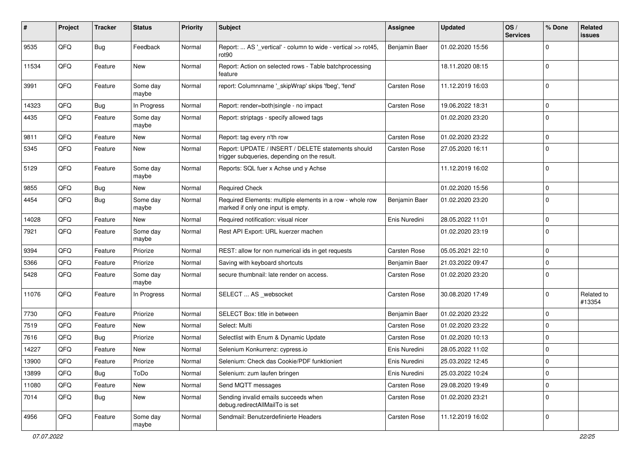| #     | Project | <b>Tracker</b> | <b>Status</b>     | <b>Priority</b> | Subject                                                                                            | Assignee            | <b>Updated</b>   | OS/<br><b>Services</b> | % Done         | Related<br>issues    |
|-------|---------|----------------|-------------------|-----------------|----------------------------------------------------------------------------------------------------|---------------------|------------------|------------------------|----------------|----------------------|
| 9535  | QFQ     | Bug            | Feedback          | Normal          | Report:  AS '_vertical' - column to wide - vertical >> rot45,<br>rot90                             | Benjamin Baer       | 01.02.2020 15:56 |                        | $\Omega$       |                      |
| 11534 | QFQ     | Feature        | New               | Normal          | Report: Action on selected rows - Table batchprocessing<br>feature                                 |                     | 18.11.2020 08:15 |                        | $\Omega$       |                      |
| 3991  | QFQ     | Feature        | Some day<br>maybe | Normal          | report: Columnname '_skipWrap' skips 'fbeg', 'fend'                                                | Carsten Rose        | 11.12.2019 16:03 |                        | $\Omega$       |                      |
| 14323 | QFQ     | Bug            | In Progress       | Normal          | Report: render=both single - no impact                                                             | Carsten Rose        | 19.06.2022 18:31 |                        | $\mathbf 0$    |                      |
| 4435  | QFQ     | Feature        | Some day<br>maybe | Normal          | Report: striptags - specify allowed tags                                                           |                     | 01.02.2020 23:20 |                        | $\Omega$       |                      |
| 9811  | QFQ     | Feature        | New               | Normal          | Report: tag every n'th row                                                                         | Carsten Rose        | 01.02.2020 23:22 |                        | $\Omega$       |                      |
| 5345  | QFQ     | Feature        | New               | Normal          | Report: UPDATE / INSERT / DELETE statements should<br>trigger subqueries, depending on the result. | <b>Carsten Rose</b> | 27.05.2020 16:11 |                        | $\Omega$       |                      |
| 5129  | QFQ     | Feature        | Some day<br>maybe | Normal          | Reports: SQL fuer x Achse und y Achse                                                              |                     | 11.12.2019 16:02 |                        | $\Omega$       |                      |
| 9855  | QFQ     | Bug            | New               | Normal          | <b>Required Check</b>                                                                              |                     | 01.02.2020 15:56 |                        | $\Omega$       |                      |
| 4454  | QFQ     | <b>Bug</b>     | Some day<br>maybe | Normal          | Required Elements: multiple elements in a row - whole row<br>marked if only one input is empty.    | Benjamin Baer       | 01.02.2020 23:20 |                        | $\Omega$       |                      |
| 14028 | QFQ     | Feature        | <b>New</b>        | Normal          | Required notification: visual nicer                                                                | Enis Nuredini       | 28.05.2022 11:01 |                        | $\mathbf 0$    |                      |
| 7921  | QFQ     | Feature        | Some day<br>maybe | Normal          | Rest API Export: URL kuerzer machen                                                                |                     | 01.02.2020 23:19 |                        | $\Omega$       |                      |
| 9394  | QFQ     | Feature        | Priorize          | Normal          | REST: allow for non numerical ids in get requests                                                  | Carsten Rose        | 05.05.2021 22:10 |                        | $\mathbf 0$    |                      |
| 5366  | QFQ     | Feature        | Priorize          | Normal          | Saving with keyboard shortcuts                                                                     | Benjamin Baer       | 21.03.2022 09:47 |                        | $\mathbf 0$    |                      |
| 5428  | QFQ     | Feature        | Some day<br>maybe | Normal          | secure thumbnail: late render on access.                                                           | Carsten Rose        | 01.02.2020 23:20 |                        | $\Omega$       |                      |
| 11076 | QFQ     | Feature        | In Progress       | Normal          | SELECT  AS _websocket                                                                              | Carsten Rose        | 30.08.2020 17:49 |                        | $\Omega$       | Related to<br>#13354 |
| 7730  | QFQ     | Feature        | Priorize          | Normal          | SELECT Box: title in between                                                                       | Benjamin Baer       | 01.02.2020 23:22 |                        | $\Omega$       |                      |
| 7519  | QFQ     | Feature        | New               | Normal          | Select: Multi                                                                                      | Carsten Rose        | 01.02.2020 23:22 |                        | $\Omega$       |                      |
| 7616  | QFQ     | <b>Bug</b>     | Priorize          | Normal          | Selectlist with Enum & Dynamic Update                                                              | Carsten Rose        | 01.02.2020 10:13 |                        | $\Omega$       |                      |
| 14227 | QFQ     | Feature        | New               | Normal          | Selenium Konkurrenz: cypress.io                                                                    | Enis Nuredini       | 28.05.2022 11:02 |                        | $\mathbf 0$    |                      |
| 13900 | QFQ     | Feature        | Priorize          | Normal          | Selenium: Check das Cookie/PDF funktioniert                                                        | Enis Nuredini       | 25.03.2022 12:45 |                        | 0              |                      |
| 13899 | QFQ     | <b>Bug</b>     | ToDo              | Normal          | Selenium: zum laufen bringen                                                                       | Enis Nuredini       | 25.03.2022 10:24 |                        | $\mathbf 0$    |                      |
| 11080 | QFQ     | Feature        | New               | Normal          | Send MQTT messages                                                                                 | Carsten Rose        | 29.08.2020 19:49 |                        | 0              |                      |
| 7014  | QFQ     | <b>Bug</b>     | New               | Normal          | Sending invalid emails succeeds when<br>debug.redirectAllMailTo is set                             | Carsten Rose        | 01.02.2020 23:21 |                        | 0              |                      |
| 4956  | QFQ     | Feature        | Some day<br>maybe | Normal          | Sendmail: Benutzerdefinierte Headers                                                               | Carsten Rose        | 11.12.2019 16:02 |                        | $\overline{0}$ |                      |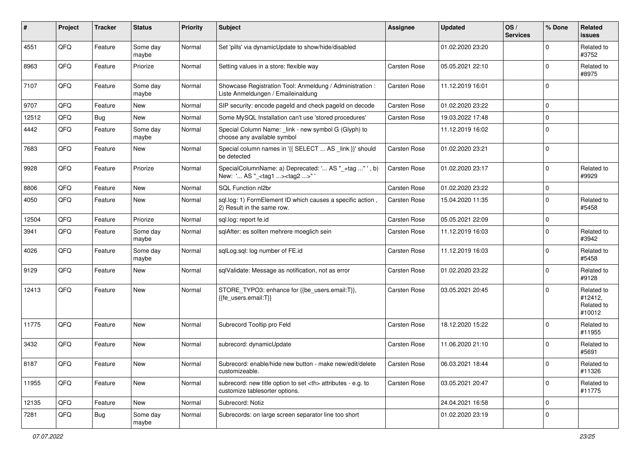| #     | Project | <b>Tracker</b> | <b>Status</b>     | <b>Priority</b> | <b>Subject</b>                                                                                       | <b>Assignee</b>                                        | <b>Updated</b>   | OS/<br><b>Services</b> | % Done      | Related<br>issues                             |                      |
|-------|---------|----------------|-------------------|-----------------|------------------------------------------------------------------------------------------------------|--------------------------------------------------------|------------------|------------------------|-------------|-----------------------------------------------|----------------------|
| 4551  | QFQ     | Feature        | Some day<br>maybe | Normal          | Set 'pills' via dynamicUpdate to show/hide/disabled                                                  |                                                        | 01.02.2020 23:20 |                        | $\Omega$    | Related to<br>#3752                           |                      |
| 8963  | QFQ     | Feature        | Priorize          | Normal          | Setting values in a store: flexible way                                                              | Carsten Rose                                           | 05.05.2021 22:10 |                        | $\Omega$    | Related to<br>#8975                           |                      |
| 7107  | QFQ     | Feature        | Some day<br>maybe | Normal          | Showcase Registration Tool: Anmeldung / Administration :<br>Liste Anmeldungen / Emaileinaldung       | Carsten Rose                                           | 11.12.2019 16:01 |                        | $\Omega$    |                                               |                      |
| 9707  | QFQ     | Feature        | New               | Normal          | SIP security: encode pageld and check pageld on decode                                               | Carsten Rose                                           | 01.02.2020 23:22 |                        | $\mathbf 0$ |                                               |                      |
| 12512 | QFQ     | Bug            | New               | Normal          | Some MySQL Installation can't use 'stored procedures'                                                | Carsten Rose                                           | 19.03.2022 17:48 |                        | $\Omega$    |                                               |                      |
| 4442  | QFQ     | Feature        | Some day<br>maybe | Normal          | Special Column Name: _link - new symbol G (Glyph) to<br>choose any available symbol                  |                                                        | 11.12.2019 16:02 |                        | $\mathbf 0$ |                                               |                      |
| 7683  | QFQ     | Feature        | New               | Normal          | Special column names in '{{ SELECT  AS _link }}' should<br>be detected                               | Carsten Rose                                           | 01.02.2020 23:21 |                        | $\Omega$    |                                               |                      |
| 9928  | QFQ     | Feature        | Priorize          | Normal          | SpecialColumnName: a) Deprecated: ' AS "_+tag " ', b)<br>New: ' AS "_ <tag1><tag2>"'</tag2></tag1>   | Carsten Rose                                           | 01.02.2020 23:17 |                        | $\mathbf 0$ | Related to<br>#9929                           |                      |
| 8806  | QFQ     | Feature        | <b>New</b>        | Normal          | SQL Function nl2br                                                                                   | Carsten Rose                                           | 01.02.2020 23:22 |                        | $\mathbf 0$ |                                               |                      |
| 4050  | QFQ     | Feature        | New               | Normal          | sql.log: 1) FormElement ID which causes a specific action,<br>2) Result in the same row.             | Carsten Rose                                           | 15.04.2020 11:35 |                        | $\Omega$    | Related to<br>#5458                           |                      |
| 12504 | QFQ     | Feature        | Priorize          | Normal          | sgl.log: report fe.id                                                                                | Carsten Rose                                           | 05.05.2021 22:09 |                        | $\mathbf 0$ |                                               |                      |
| 3941  | QFQ     | Feature        | Some day<br>maybe | Normal          | sqlAfter: es sollten mehrere moeglich sein                                                           | Carsten Rose                                           | 11.12.2019 16:03 |                        | $\Omega$    | Related to<br>#3942                           |                      |
| 4026  | QFQ     | Feature        | Some day<br>maybe | Normal          | sqlLog.sql: log number of FE.id                                                                      | Carsten Rose                                           | 11.12.2019 16:03 |                        | $\Omega$    | Related to<br>#5458                           |                      |
| 9129  | QFQ     | Feature        | New               | Normal          | sqlValidate: Message as notification, not as error                                                   | Carsten Rose                                           | 01.02.2020 23:22 |                        | $\mathbf 0$ | Related to<br>#9128                           |                      |
| 12413 | QFQ     | Feature        | New               | Normal          | STORE_TYPO3: enhance for {{be_users.email:T}},<br>{{fe_users.email:T}}                               | Carsten Rose                                           | 03.05.2021 20:45 |                        | $\Omega$    | Related to<br>#12412,<br>Related to<br>#10012 |                      |
| 11775 | QFQ     | Feature        | <b>New</b>        | Normal          | Subrecord Tooltip pro Feld                                                                           | Carsten Rose                                           | 18.12.2020 15:22 |                        | $\Omega$    | Related to<br>#11955                          |                      |
| 3432  | QFQ     | Feature        | New               | Normal          | subrecord: dynamicUpdate                                                                             | Carsten Rose                                           | 11.06.2020 21:10 |                        | $\mathbf 0$ | Related to<br>#5691                           |                      |
| 8187  | QFQ     | Feature        | New               | Normal          | Subrecord: enable/hide new button - make new/edit/delete<br>customizeable.                           | Carsten Rose                                           | 06.03.2021 18:44 |                        | O           | Related to<br>#11326                          |                      |
| 11955 | QFQ     | Feature        | New               | Normal          | subrecord: new title option to set <th> attributes - e.g. to<br/>customize tablesorter options.</th> | attributes - e.g. to<br>customize tablesorter options. | Carsten Rose     | 03.05.2021 20:47       |             | $\mathbf 0$                                   | Related to<br>#11775 |
| 12135 | QFQ     | Feature        | New               | Normal          | Subrecord: Notiz                                                                                     |                                                        | 24.04.2021 16:58 |                        | $\mathbf 0$ |                                               |                      |
| 7281  | QFQ     | <b>Bug</b>     | Some day<br>maybe | Normal          | Subrecords: on large screen separator line too short                                                 |                                                        | 01.02.2020 23:19 |                        | $\mathbf 0$ |                                               |                      |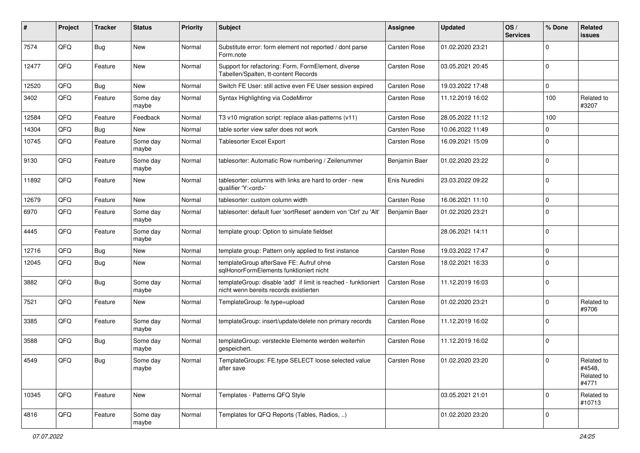| ∦     | Project | <b>Tracker</b> | <b>Status</b>     | <b>Priority</b> | <b>Subject</b>                                                                                            | <b>Assignee</b>     | <b>Updated</b>   | OS/<br><b>Services</b> | % Done       | Related<br>issues                           |
|-------|---------|----------------|-------------------|-----------------|-----------------------------------------------------------------------------------------------------------|---------------------|------------------|------------------------|--------------|---------------------------------------------|
| 7574  | QFQ     | Bug            | New               | Normal          | Substitute error: form element not reported / dont parse<br>Form.note                                     | Carsten Rose        | 01.02.2020 23:21 |                        | <sup>0</sup> |                                             |
| 12477 | QFQ     | Feature        | New               | Normal          | Support for refactoring: Form, FormElement, diverse<br>Tabellen/Spalten, tt-content Records               | Carsten Rose        | 03.05.2021 20:45 |                        | $\Omega$     |                                             |
| 12520 | QFQ     | Bug            | New               | Normal          | Switch FE User: still active even FE User session expired                                                 | Carsten Rose        | 19.03.2022 17:48 |                        | 0            |                                             |
| 3402  | QFQ     | Feature        | Some day<br>maybe | Normal          | Syntax Highlighting via CodeMirror                                                                        | <b>Carsten Rose</b> | 11.12.2019 16:02 |                        | 100          | Related to<br>#3207                         |
| 12584 | QFQ     | Feature        | Feedback          | Normal          | T3 v10 migration script: replace alias-patterns (v11)                                                     | Carsten Rose        | 28.05.2022 11:12 |                        | 100          |                                             |
| 14304 | QFQ     | Bug            | <b>New</b>        | Normal          | table sorter view safer does not work                                                                     | Carsten Rose        | 10.06.2022 11:49 |                        | 0            |                                             |
| 10745 | QFQ     | Feature        | Some day<br>maybe | Normal          | <b>Tablesorter Excel Export</b>                                                                           | <b>Carsten Rose</b> | 16.09.2021 15:09 |                        | $\Omega$     |                                             |
| 9130  | QFQ     | Feature        | Some day<br>maybe | Normal          | tablesorter: Automatic Row numbering / Zeilenummer                                                        | Benjamin Baer       | 01.02.2020 23:22 |                        | $\Omega$     |                                             |
| 11892 | QFQ     | Feature        | New               | Normal          | tablesorter: columns with links are hard to order - new<br>qualifier 'Y: <ord>'</ord>                     | Enis Nuredini       | 23.03.2022 09:22 |                        | $\Omega$     |                                             |
| 12679 | QFQ     | Feature        | New               | Normal          | tablesorter: custom column width                                                                          | Carsten Rose        | 16.06.2021 11:10 |                        | 0            |                                             |
| 6970  | QFQ     | Feature        | Some day<br>maybe | Normal          | tablesorter: default fuer 'sortReset' aendern von 'Ctrl' zu 'Alt'                                         | Benjamin Baer       | 01.02.2020 23:21 |                        | $\Omega$     |                                             |
| 4445  | QFQ     | Feature        | Some day<br>maybe | Normal          | template group: Option to simulate fieldset                                                               |                     | 28.06.2021 14:11 |                        | $\Omega$     |                                             |
| 12716 | QFQ     | Bug            | <b>New</b>        | Normal          | template group: Pattern only applied to first instance                                                    | Carsten Rose        | 19.03.2022 17:47 |                        | $\mathbf{0}$ |                                             |
| 12045 | QFQ     | Bug            | New               | Normal          | templateGroup afterSave FE: Aufruf ohne<br>sglHonorFormElements funktioniert nicht                        | Carsten Rose        | 18.02.2021 16:33 |                        | $\Omega$     |                                             |
| 3882  | QFQ     | <b>Bug</b>     | Some day<br>maybe | Normal          | templateGroup: disable 'add' if limit is reached - funktioniert<br>nicht wenn bereits records existierten | <b>Carsten Rose</b> | 11.12.2019 16:03 |                        | $\Omega$     |                                             |
| 7521  | QFQ     | Feature        | <b>New</b>        | Normal          | TemplateGroup: fe.type=upload                                                                             | Carsten Rose        | 01.02.2020 23:21 |                        | $\Omega$     | Related to<br>#9706                         |
| 3385  | QFQ     | Feature        | Some day<br>maybe | Normal          | templateGroup: insert/update/delete non primary records                                                   | <b>Carsten Rose</b> | 11.12.2019 16:02 |                        | $\Omega$     |                                             |
| 3588  | QFQ     | <b>Bug</b>     | Some day<br>maybe | Normal          | templateGroup: versteckte Elemente werden weiterhin<br>gespeichert.                                       | Carsten Rose        | 11.12.2019 16:02 |                        | $\Omega$     |                                             |
| 4549  | QFQ     | <b>Bug</b>     | Some day<br>maybe | Normal          | TemplateGroups: FE.type SELECT loose selected value<br>after save                                         | <b>Carsten Rose</b> | 01.02.2020 23:20 |                        | $\Omega$     | Related to<br>#4548,<br>Related to<br>#4771 |
| 10345 | QFQ     | Feature        | New               | Normal          | Templates - Patterns QFQ Style                                                                            |                     | 03.05.2021 21:01 |                        | $\Omega$     | Related to<br>#10713                        |
| 4816  | QFQ     | Feature        | Some day<br>maybe | Normal          | Templates for QFQ Reports (Tables, Radios, )                                                              |                     | 01.02.2020 23:20 |                        | 0            |                                             |